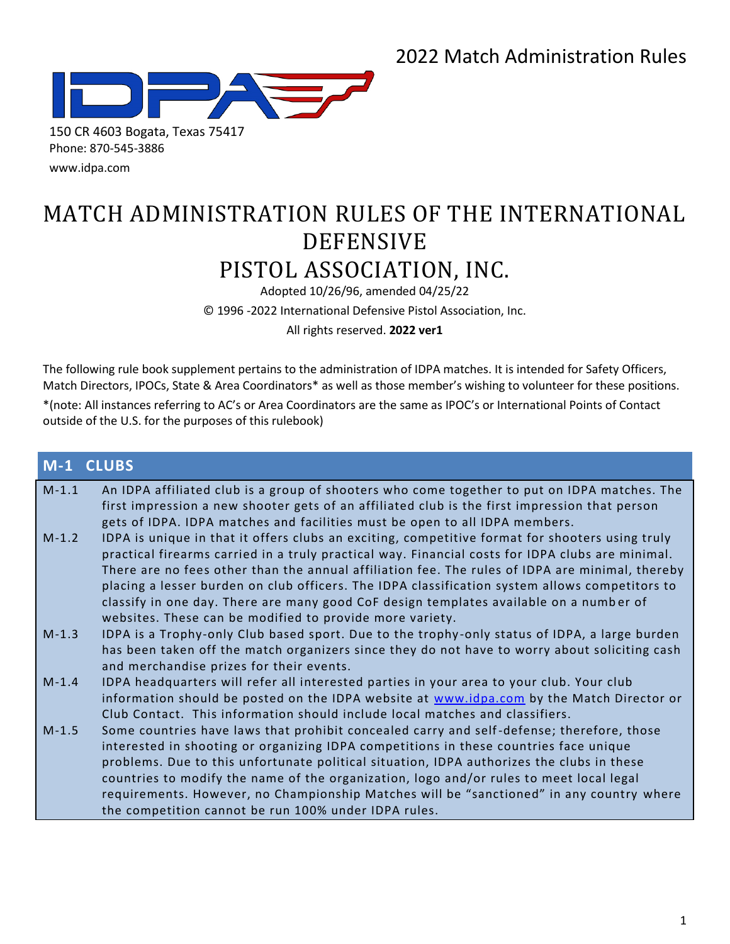

[www.idpa.com](http://www.idpa.com/)

# MATCH ADMINISTRATION RULES OF THE INTERNATIONAL DEFENSIVE PISTOL ASSOCIATION, INC.

Adopted 10/26/96, amended 04/25/22

© 1996 -2022 International Defensive Pistol Association, Inc.

All rights reserved. **2022 ver1**

The following rule book supplement pertains to the administration of IDPA matches. It is intended for Safety Officers, Match Directors, IPOCs, State & Area Coordinators\* as well as those member's wishing to volunteer for these positions.

\*(note: All instances referring to AC's or Area Coordinators are the same as IPOC's or International Points of Contact outside of the U.S. for the purposes of this rulebook)

### **M-1 CLUBS**

| $M-1.1$ | An IDPA affiliated club is a group of shooters who come together to put on IDPA matches. The<br>first impression a new shooter gets of an affiliated club is the first impression that person                                                                                                                                                                                                                                                                                                                                  |
|---------|--------------------------------------------------------------------------------------------------------------------------------------------------------------------------------------------------------------------------------------------------------------------------------------------------------------------------------------------------------------------------------------------------------------------------------------------------------------------------------------------------------------------------------|
| $M-1.2$ | gets of IDPA. IDPA matches and facilities must be open to all IDPA members.<br>IDPA is unique in that it offers clubs an exciting, competitive format for shooters using truly<br>practical firearms carried in a truly practical way. Financial costs for IDPA clubs are minimal.<br>There are no fees other than the annual affiliation fee. The rules of IDPA are minimal, thereby                                                                                                                                          |
|         | placing a lesser burden on club officers. The IDPA classification system allows competitors to<br>classify in one day. There are many good CoF design templates available on a number of<br>websites. These can be modified to provide more variety.                                                                                                                                                                                                                                                                           |
| $M-1.3$ | IDPA is a Trophy-only Club based sport. Due to the trophy-only status of IDPA, a large burden<br>has been taken off the match organizers since they do not have to worry about soliciting cash<br>and merchandise prizes for their events.                                                                                                                                                                                                                                                                                     |
| $M-1.4$ | IDPA headquarters will refer all interested parties in your area to your club. Your club<br>information should be posted on the IDPA website at www.idpa.com by the Match Director or<br>Club Contact. This information should include local matches and classifiers.                                                                                                                                                                                                                                                          |
| $M-1.5$ | Some countries have laws that prohibit concealed carry and self-defense; therefore, those<br>interested in shooting or organizing IDPA competitions in these countries face unique<br>problems. Due to this unfortunate political situation, IDPA authorizes the clubs in these<br>countries to modify the name of the organization, logo and/or rules to meet local legal<br>requirements. However, no Championship Matches will be "sanctioned" in any country where<br>the competition cannot be run 100% under IDPA rules. |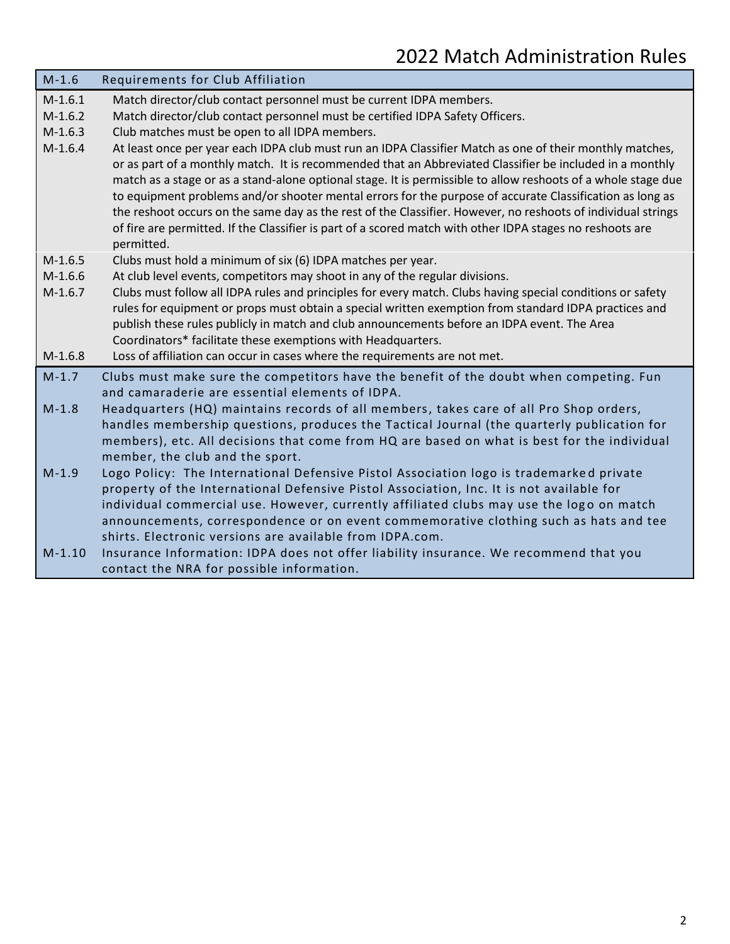| $M-1.6$   | Requirements for Club Affiliation                                                                                                                                                                                                                                                                                                                                                                                                                                                                                                                                                                                                                                                            |
|-----------|----------------------------------------------------------------------------------------------------------------------------------------------------------------------------------------------------------------------------------------------------------------------------------------------------------------------------------------------------------------------------------------------------------------------------------------------------------------------------------------------------------------------------------------------------------------------------------------------------------------------------------------------------------------------------------------------|
| $M-1.6.1$ | Match director/club contact personnel must be current IDPA members.                                                                                                                                                                                                                                                                                                                                                                                                                                                                                                                                                                                                                          |
| $M-1.6.2$ | Match director/club contact personnel must be certified IDPA Safety Officers.                                                                                                                                                                                                                                                                                                                                                                                                                                                                                                                                                                                                                |
| $M-1.6.3$ | Club matches must be open to all IDPA members.                                                                                                                                                                                                                                                                                                                                                                                                                                                                                                                                                                                                                                               |
| $M-1.6.4$ | At least once per year each IDPA club must run an IDPA Classifier Match as one of their monthly matches,<br>or as part of a monthly match. It is recommended that an Abbreviated Classifier be included in a monthly<br>match as a stage or as a stand-alone optional stage. It is permissible to allow reshoots of a whole stage due<br>to equipment problems and/or shooter mental errors for the purpose of accurate Classification as long as<br>the reshoot occurs on the same day as the rest of the Classifier. However, no reshoots of individual strings<br>of fire are permitted. If the Classifier is part of a scored match with other IDPA stages no reshoots are<br>permitted. |
| $M-1.6.5$ | Clubs must hold a minimum of six (6) IDPA matches per year.                                                                                                                                                                                                                                                                                                                                                                                                                                                                                                                                                                                                                                  |
| $M-1.6.6$ | At club level events, competitors may shoot in any of the regular divisions.                                                                                                                                                                                                                                                                                                                                                                                                                                                                                                                                                                                                                 |
| $M-1.6.7$ | Clubs must follow all IDPA rules and principles for every match. Clubs having special conditions or safety<br>rules for equipment or props must obtain a special written exemption from standard IDPA practices and<br>publish these rules publicly in match and club announcements before an IDPA event. The Area<br>Coordinators* facilitate these exemptions with Headquarters.                                                                                                                                                                                                                                                                                                           |
| $M-1.6.8$ | Loss of affiliation can occur in cases where the requirements are not met.                                                                                                                                                                                                                                                                                                                                                                                                                                                                                                                                                                                                                   |
| $M-1.7$   | Clubs must make sure the competitors have the benefit of the doubt when competing. Fun<br>and camaraderie are essential elements of IDPA.                                                                                                                                                                                                                                                                                                                                                                                                                                                                                                                                                    |
| $M-1.8$   | Headquarters (HQ) maintains records of all members, takes care of all Pro Shop orders,<br>handles membership questions, produces the Tactical Journal (the quarterly publication for<br>members), etc. All decisions that come from HQ are based on what is best for the individual<br>member, the club and the sport.                                                                                                                                                                                                                                                                                                                                                                       |
| $M-1.9$   | Logo Policy: The International Defensive Pistol Association logo is trademarked private<br>property of the International Defensive Pistol Association, Inc. It is not available for<br>individual commercial use. However, currently affiliated clubs may use the logo on match<br>announcements, correspondence or on event commemorative clothing such as hats and tee<br>shirts. Electronic versions are available from IDPA.com.                                                                                                                                                                                                                                                         |
| $M-1.10$  | Insurance Information: IDPA does not offer liability insurance. We recommend that you<br>contact the NRA for possible information.                                                                                                                                                                                                                                                                                                                                                                                                                                                                                                                                                           |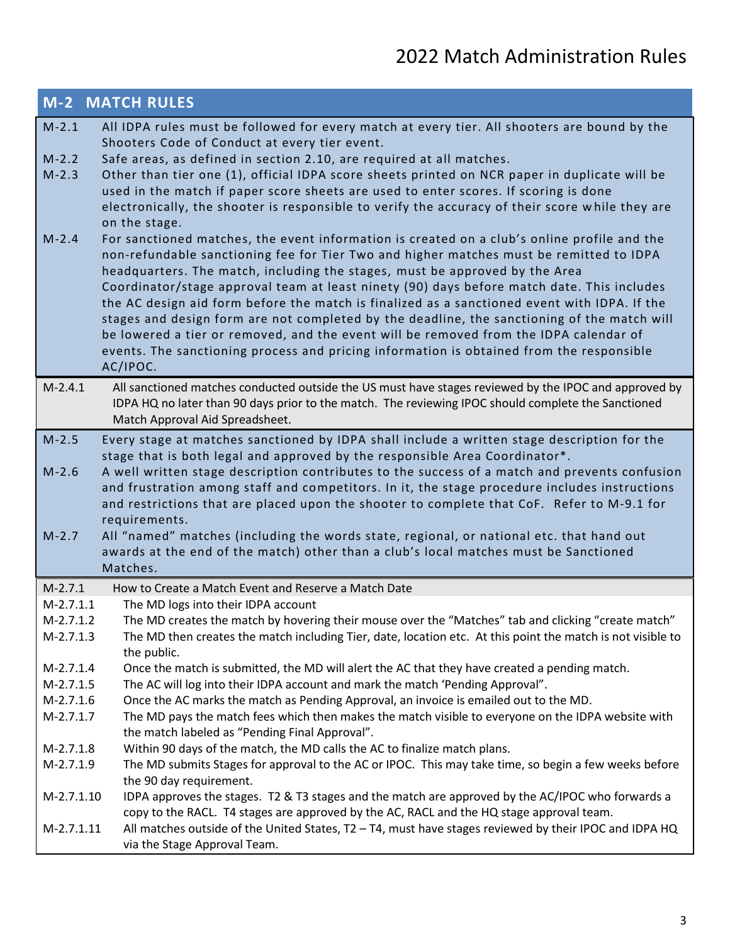|                            | <b>M-2 MATCH RULES</b>                                                                                                                                                                      |
|----------------------------|---------------------------------------------------------------------------------------------------------------------------------------------------------------------------------------------|
| $M-2.1$                    | All IDPA rules must be followed for every match at every tier. All shooters are bound by the                                                                                                |
|                            | Shooters Code of Conduct at every tier event.                                                                                                                                               |
| $M-2.2$                    | Safe areas, as defined in section 2.10, are required at all matches.                                                                                                                        |
| $M-2.3$                    | Other than tier one (1), official IDPA score sheets printed on NCR paper in duplicate will be                                                                                               |
|                            | used in the match if paper score sheets are used to enter scores. If scoring is done                                                                                                        |
|                            | electronically, the shooter is responsible to verify the accuracy of their score while they are                                                                                             |
|                            | on the stage.                                                                                                                                                                               |
| $M-2.4$                    | For sanctioned matches, the event information is created on a club's online profile and the<br>non-refundable sanctioning fee for Tier Two and higher matches must be remitted to IDPA      |
|                            | headquarters. The match, including the stages, must be approved by the Area                                                                                                                 |
|                            | Coordinator/stage approval team at least ninety (90) days before match date. This includes                                                                                                  |
|                            | the AC design aid form before the match is finalized as a sanctioned event with IDPA. If the                                                                                                |
|                            | stages and design form are not completed by the deadline, the sanctioning of the match will                                                                                                 |
|                            | be lowered a tier or removed, and the event will be removed from the IDPA calendar of                                                                                                       |
|                            | events. The sanctioning process and pricing information is obtained from the responsible                                                                                                    |
|                            | AC/IPOC.                                                                                                                                                                                    |
| $M-2.4.1$                  | All sanctioned matches conducted outside the US must have stages reviewed by the IPOC and approved by                                                                                       |
|                            | IDPA HQ no later than 90 days prior to the match. The reviewing IPOC should complete the Sanctioned                                                                                         |
|                            | Match Approval Aid Spreadsheet.                                                                                                                                                             |
| $M-2.5$                    | Every stage at matches sanctioned by IDPA shall include a written stage description for the                                                                                                 |
|                            | stage that is both legal and approved by the responsible Area Coordinator*.                                                                                                                 |
| $M-2.6$                    | A well written stage description contributes to the success of a match and prevents confusion                                                                                               |
|                            | and frustration among staff and competitors. In it, the stage procedure includes instructions                                                                                               |
|                            | and restrictions that are placed upon the shooter to complete that CoF. Refer to M-9.1 for<br>requirements.                                                                                 |
| $M-2.7$                    | All "named" matches (including the words state, regional, or national etc. that hand out                                                                                                    |
|                            | awards at the end of the match) other than a club's local matches must be Sanctioned                                                                                                        |
|                            | Matches.                                                                                                                                                                                    |
| $M-2.7.1$                  | How to Create a Match Event and Reserve a Match Date                                                                                                                                        |
| $M-2.7.1.1$                | The MD logs into their IDPA account                                                                                                                                                         |
| $M-2.7.1.2$                | The MD creates the match by hovering their mouse over the "Matches" tab and clicking "create match"                                                                                         |
| $M-2.7.1.3$                | The MD then creates the match including Tier, date, location etc. At this point the match is not visible to                                                                                 |
|                            | the public.                                                                                                                                                                                 |
| $M-2.7.1.4$                | Once the match is submitted, the MD will alert the AC that they have created a pending match.                                                                                               |
| $M-2.7.1.5$                | The AC will log into their IDPA account and mark the match 'Pending Approval".                                                                                                              |
| $M-2.7.1.6$<br>$M-2.7.1.7$ | Once the AC marks the match as Pending Approval, an invoice is emailed out to the MD.<br>The MD pays the match fees which then makes the match visible to everyone on the IDPA website with |
|                            | the match labeled as "Pending Final Approval".                                                                                                                                              |
| $M-2.7.1.8$                | Within 90 days of the match, the MD calls the AC to finalize match plans.                                                                                                                   |
| $M-2.7.1.9$                | The MD submits Stages for approval to the AC or IPOC. This may take time, so begin a few weeks before                                                                                       |
|                            | the 90 day requirement.                                                                                                                                                                     |
| M-2.7.1.10                 | IDPA approves the stages. T2 & T3 stages and the match are approved by the AC/IPOC who forwards a                                                                                           |
|                            | copy to the RACL. T4 stages are approved by the AC, RACL and the HQ stage approval team.                                                                                                    |
| M-2.7.1.11                 | All matches outside of the United States, T2 - T4, must have stages reviewed by their IPOC and IDPA HQ                                                                                      |
|                            | via the Stage Approval Team.                                                                                                                                                                |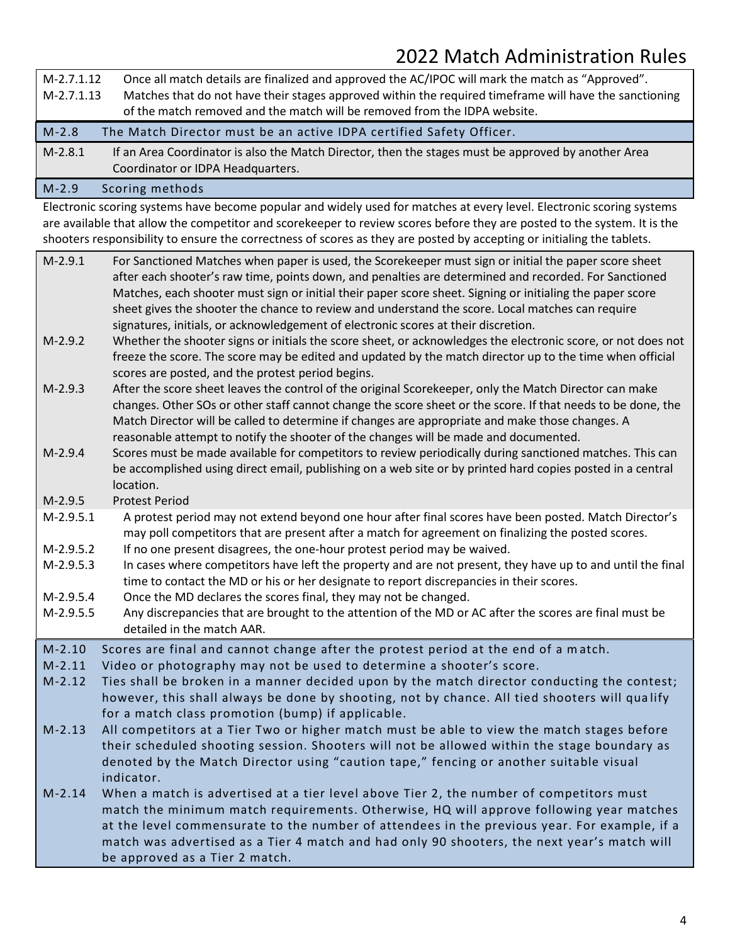| M-2.7.1.12                                                                                                                                                                                                                                                                                                                                                                                                              | Once all match details are finalized and approved the AC/IPOC will mark the match as "Approved".    |  |
|-------------------------------------------------------------------------------------------------------------------------------------------------------------------------------------------------------------------------------------------------------------------------------------------------------------------------------------------------------------------------------------------------------------------------|-----------------------------------------------------------------------------------------------------|--|
| Matches that do not have their stages approved within the required timeframe will have the sanctioning<br>M-2.7.1.13                                                                                                                                                                                                                                                                                                    |                                                                                                     |  |
|                                                                                                                                                                                                                                                                                                                                                                                                                         | of the match removed and the match will be removed from the IDPA website.                           |  |
| $M-2.8$                                                                                                                                                                                                                                                                                                                                                                                                                 | The Match Director must be an active IDPA certified Safety Officer.                                 |  |
| $M-2.8.1$                                                                                                                                                                                                                                                                                                                                                                                                               | If an Area Coordinator is also the Match Director, then the stages must be approved by another Area |  |
|                                                                                                                                                                                                                                                                                                                                                                                                                         | Coordinator or IDPA Headquarters.                                                                   |  |
| $\begin{array}{c} \n\mathbf{A} \mathbf{A} \mathbf{A} \mathbf{A} \mathbf{A} \mathbf{A} \mathbf{A} \mathbf{A} \mathbf{A} \mathbf{A} \mathbf{A} \mathbf{A} \mathbf{A} \mathbf{A} \mathbf{A} \mathbf{A} \mathbf{A} \mathbf{A} \mathbf{A} \mathbf{A} \mathbf{A} \mathbf{A} \mathbf{A} \mathbf{A} \mathbf{A} \mathbf{A} \mathbf{A} \mathbf{A} \mathbf{A} \mathbf{A} \mathbf{A} \mathbf{A} \mathbf{A} \mathbf{A} \mathbf{A} \$ | Cooring mothode                                                                                     |  |

#### M-2.9 Scoring methods

Electronic scoring systems have become popular and widely used for matches at every level. Electronic scoring systems are available that allow the competitor and scorekeeper to review scores before they are posted to the system. It is the shooters responsibility to ensure the correctness of scores as they are posted by accepting or initialing the tablets.

| $M-2.9.1$   | For Sanctioned Matches when paper is used, the Scorekeeper must sign or initial the paper score sheet<br>after each shooter's raw time, points down, and penalties are determined and recorded. For Sanctioned<br>Matches, each shooter must sign or initial their paper score sheet. Signing or initialing the paper score<br>sheet gives the shooter the chance to review and understand the score. Local matches can require<br>signatures, initials, or acknowledgement of electronic scores at their discretion. |
|-------------|-----------------------------------------------------------------------------------------------------------------------------------------------------------------------------------------------------------------------------------------------------------------------------------------------------------------------------------------------------------------------------------------------------------------------------------------------------------------------------------------------------------------------|
| $M-2.9.2$   | Whether the shooter signs or initials the score sheet, or acknowledges the electronic score, or not does not<br>freeze the score. The score may be edited and updated by the match director up to the time when official<br>scores are posted, and the protest period begins.                                                                                                                                                                                                                                         |
| $M-2.9.3$   | After the score sheet leaves the control of the original Scorekeeper, only the Match Director can make<br>changes. Other SOs or other staff cannot change the score sheet or the score. If that needs to be done, the<br>Match Director will be called to determine if changes are appropriate and make those changes. A<br>reasonable attempt to notify the shooter of the changes will be made and documented.                                                                                                      |
| $M-2.9.4$   | Scores must be made available for competitors to review periodically during sanctioned matches. This can<br>be accomplished using direct email, publishing on a web site or by printed hard copies posted in a central<br>location.                                                                                                                                                                                                                                                                                   |
| $M-2.9.5$   | <b>Protest Period</b>                                                                                                                                                                                                                                                                                                                                                                                                                                                                                                 |
| $M-2.9.5.1$ | A protest period may not extend beyond one hour after final scores have been posted. Match Director's<br>may poll competitors that are present after a match for agreement on finalizing the posted scores.                                                                                                                                                                                                                                                                                                           |
| M-2.9.5.2   | If no one present disagrees, the one-hour protest period may be waived.                                                                                                                                                                                                                                                                                                                                                                                                                                               |
| $M-2.9.5.3$ | In cases where competitors have left the property and are not present, they have up to and until the final<br>time to contact the MD or his or her designate to report discrepancies in their scores.                                                                                                                                                                                                                                                                                                                 |
| $M-2.9.5.4$ | Once the MD declares the scores final, they may not be changed.                                                                                                                                                                                                                                                                                                                                                                                                                                                       |
| $M-2.9.5.5$ | Any discrepancies that are brought to the attention of the MD or AC after the scores are final must be<br>detailed in the match AAR.                                                                                                                                                                                                                                                                                                                                                                                  |
| $M-2.10$    | Scores are final and cannot change after the protest period at the end of a match.                                                                                                                                                                                                                                                                                                                                                                                                                                    |
| $M-2.11$    | Video or photography may not be used to determine a shooter's score.                                                                                                                                                                                                                                                                                                                                                                                                                                                  |
| $M-2.12$    | Ties shall be broken in a manner decided upon by the match director conducting the contest;                                                                                                                                                                                                                                                                                                                                                                                                                           |
|             | however, this shall always be done by shooting, not by chance. All tied shooters will qualify<br>for a match class promotion (bump) if applicable.                                                                                                                                                                                                                                                                                                                                                                    |
| $M-2.13$    | All competitors at a Tier Two or higher match must be able to view the match stages before                                                                                                                                                                                                                                                                                                                                                                                                                            |
|             | their scheduled shooting session. Shooters will not be allowed within the stage boundary as                                                                                                                                                                                                                                                                                                                                                                                                                           |
|             | denoted by the Match Director using "caution tape," fencing or another suitable visual<br>indicator.                                                                                                                                                                                                                                                                                                                                                                                                                  |
| $M-2.14$    | When a match is advertised at a tier level above Tier 2, the number of competitors must                                                                                                                                                                                                                                                                                                                                                                                                                               |
|             | match the minimum match requirements. Otherwise, HQ will approve following year matches                                                                                                                                                                                                                                                                                                                                                                                                                               |
|             | at the level commensurate to the number of attendees in the previous year. For example, if a                                                                                                                                                                                                                                                                                                                                                                                                                          |
|             | match was advertised as a Tier 4 match and had only 90 shooters, the next year's match will                                                                                                                                                                                                                                                                                                                                                                                                                           |
|             | be approved as a Tier 2 match.                                                                                                                                                                                                                                                                                                                                                                                                                                                                                        |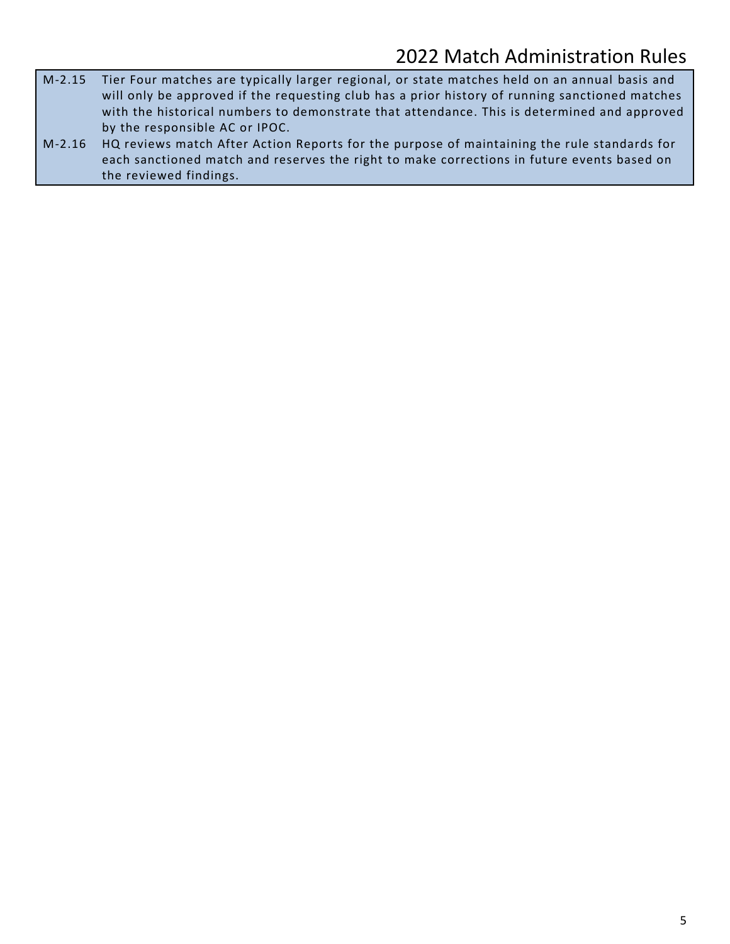- M-2.15 Tier Four matches are typically larger regional, or state matches held on an annual basis and will only be approved if the requesting club has a prior history of running sanctioned matches with the historical numbers to demonstrate that attendance. This is determined and approved by the responsible AC or IPOC.
- M-2.16 HQ reviews match After Action Reports for the purpose of maintaining the rule standards for each sanctioned match and reserves the right to make corrections in future events based on the reviewed findings.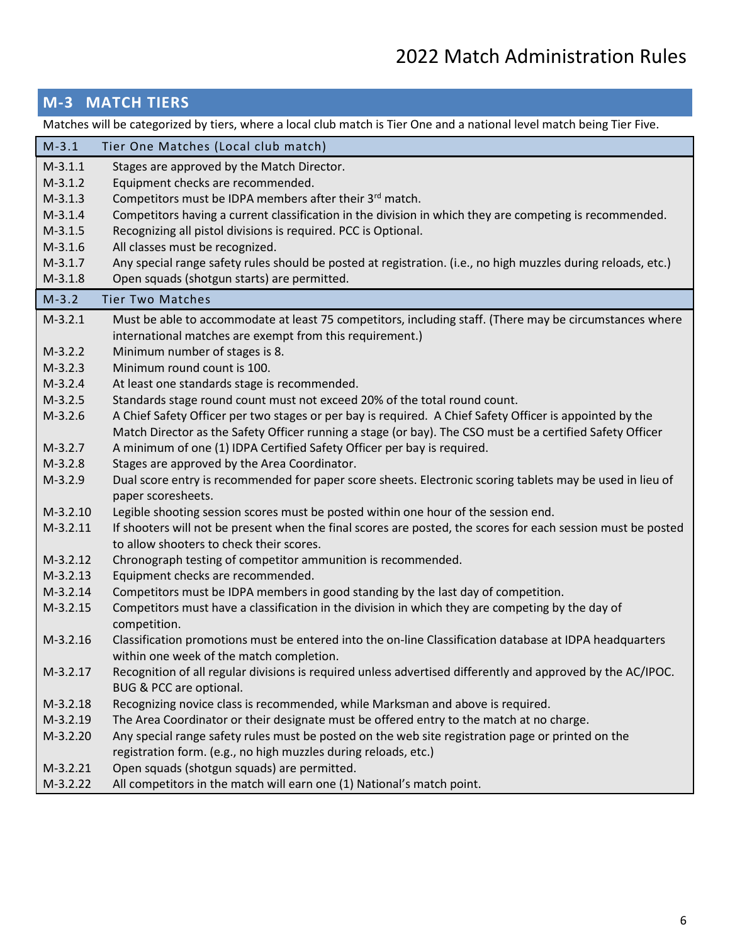### **M-3 MATCH TIERS**

Matches will be categorized by tiers, where a local club match is Tier One and a national level match being Tier Five.

| $M-3.1$    | Tier One Matches (Local club match)                                                                                                                                                  |
|------------|--------------------------------------------------------------------------------------------------------------------------------------------------------------------------------------|
| $M-3.1.1$  | Stages are approved by the Match Director.                                                                                                                                           |
| $M-3.1.2$  | Equipment checks are recommended.                                                                                                                                                    |
| $M-3.1.3$  | Competitors must be IDPA members after their 3 <sup>rd</sup> match.                                                                                                                  |
| $M-3.1.4$  | Competitors having a current classification in the division in which they are competing is recommended.                                                                              |
| $M-3.1.5$  | Recognizing all pistol divisions is required. PCC is Optional.                                                                                                                       |
| $M-3.1.6$  | All classes must be recognized.                                                                                                                                                      |
| $M-3.1.7$  | Any special range safety rules should be posted at registration. (i.e., no high muzzles during reloads, etc.)                                                                        |
| $M-3.1.8$  | Open squads (shotgun starts) are permitted.                                                                                                                                          |
| $M-3.2$    | <b>Tier Two Matches</b>                                                                                                                                                              |
| $M-3.2.1$  | Must be able to accommodate at least 75 competitors, including staff. (There may be circumstances where                                                                              |
|            | international matches are exempt from this requirement.)                                                                                                                             |
| $M-3.2.2$  | Minimum number of stages is 8.                                                                                                                                                       |
| $M-3.2.3$  | Minimum round count is 100.                                                                                                                                                          |
| $M-3.2.4$  | At least one standards stage is recommended.                                                                                                                                         |
| $M-3.2.5$  | Standards stage round count must not exceed 20% of the total round count.                                                                                                            |
| $M-3.2.6$  | A Chief Safety Officer per two stages or per bay is required. A Chief Safety Officer is appointed by the                                                                             |
| $M-3.2.7$  | Match Director as the Safety Officer running a stage (or bay). The CSO must be a certified Safety Officer<br>A minimum of one (1) IDPA Certified Safety Officer per bay is required. |
| $M-3.2.8$  | Stages are approved by the Area Coordinator.                                                                                                                                         |
| $M-3.2.9$  | Dual score entry is recommended for paper score sheets. Electronic scoring tablets may be used in lieu of                                                                            |
|            | paper scoresheets.                                                                                                                                                                   |
| $M-3.2.10$ | Legible shooting session scores must be posted within one hour of the session end.                                                                                                   |
| $M-3.2.11$ | If shooters will not be present when the final scores are posted, the scores for each session must be posted                                                                         |
|            | to allow shooters to check their scores.                                                                                                                                             |
| $M-3.2.12$ | Chronograph testing of competitor ammunition is recommended.                                                                                                                         |
| $M-3.2.13$ | Equipment checks are recommended.                                                                                                                                                    |
| $M-3.2.14$ | Competitors must be IDPA members in good standing by the last day of competition.                                                                                                    |
| $M-3.2.15$ | Competitors must have a classification in the division in which they are competing by the day of<br>competition.                                                                     |
| $M-3.2.16$ | Classification promotions must be entered into the on-line Classification database at IDPA headquarters                                                                              |
|            | within one week of the match completion.                                                                                                                                             |
| $M-3.2.17$ | Recognition of all regular divisions is required unless advertised differently and approved by the AC/IPOC.                                                                          |
|            | BUG & PCC are optional.                                                                                                                                                              |
| $M-3.2.18$ | Recognizing novice class is recommended, while Marksman and above is required.                                                                                                       |
| $M-3.2.19$ | The Area Coordinator or their designate must be offered entry to the match at no charge.                                                                                             |
| M-3.2.20   | Any special range safety rules must be posted on the web site registration page or printed on the                                                                                    |
|            | registration form. (e.g., no high muzzles during reloads, etc.)                                                                                                                      |
| $M-3.2.21$ | Open squads (shotgun squads) are permitted.                                                                                                                                          |
| $M-3.2.22$ | All competitors in the match will earn one (1) National's match point.                                                                                                               |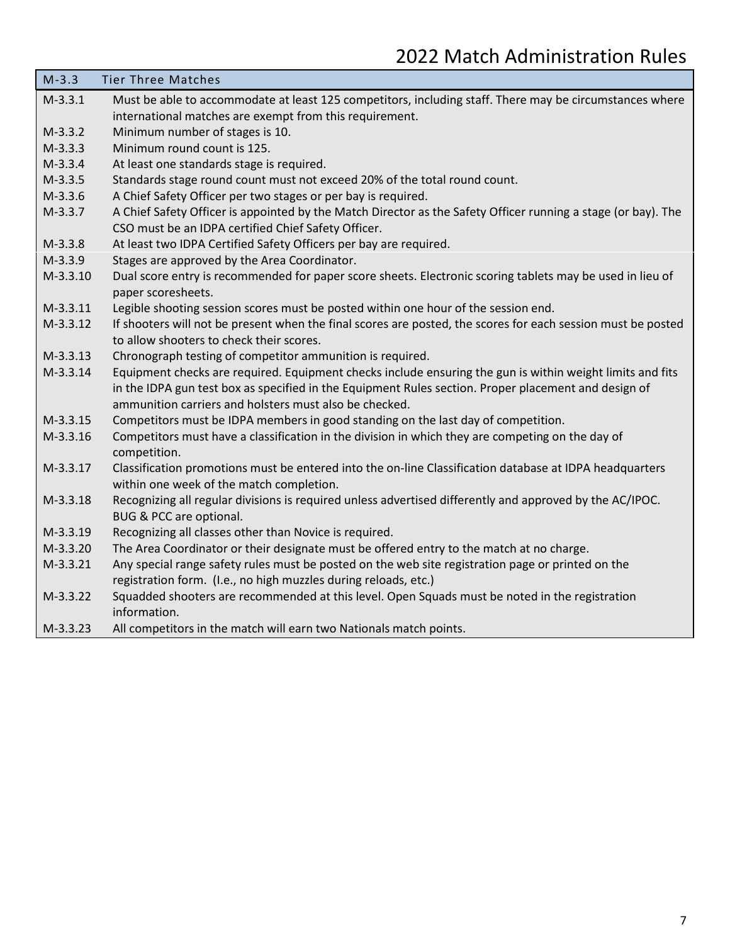| $M-3.3$    | <b>Tier Three Matches</b>                                                                                                                                |
|------------|----------------------------------------------------------------------------------------------------------------------------------------------------------|
| $M-3.3.1$  | Must be able to accommodate at least 125 competitors, including staff. There may be circumstances where                                                  |
|            | international matches are exempt from this requirement.                                                                                                  |
| $M-3.3.2$  | Minimum number of stages is 10.                                                                                                                          |
| $M-3.3.3$  | Minimum round count is 125.                                                                                                                              |
| $M-3.3.4$  | At least one standards stage is required.                                                                                                                |
| $M-3.3.5$  | Standards stage round count must not exceed 20% of the total round count.                                                                                |
| $M-3.3.6$  | A Chief Safety Officer per two stages or per bay is required.                                                                                            |
| $M-3.3.7$  | A Chief Safety Officer is appointed by the Match Director as the Safety Officer running a stage (or bay). The                                            |
|            | CSO must be an IDPA certified Chief Safety Officer.                                                                                                      |
| $M-3.3.8$  | At least two IDPA Certified Safety Officers per bay are required.                                                                                        |
| $M-3.3.9$  | Stages are approved by the Area Coordinator.                                                                                                             |
| $M-3.3.10$ | Dual score entry is recommended for paper score sheets. Electronic scoring tablets may be used in lieu of<br>paper scoresheets.                          |
| $M-3.3.11$ | Legible shooting session scores must be posted within one hour of the session end.                                                                       |
| $M-3.3.12$ | If shooters will not be present when the final scores are posted, the scores for each session must be posted<br>to allow shooters to check their scores. |
| $M-3.3.13$ | Chronograph testing of competitor ammunition is required.                                                                                                |
| $M-3.3.14$ | Equipment checks are required. Equipment checks include ensuring the gun is within weight limits and fits                                                |
|            | in the IDPA gun test box as specified in the Equipment Rules section. Proper placement and design of                                                     |
|            | ammunition carriers and holsters must also be checked.                                                                                                   |
| $M-3.3.15$ | Competitors must be IDPA members in good standing on the last day of competition.                                                                        |
| M-3.3.16   | Competitors must have a classification in the division in which they are competing on the day of<br>competition.                                         |
| $M-3.3.17$ | Classification promotions must be entered into the on-line Classification database at IDPA headquarters                                                  |
|            | within one week of the match completion.                                                                                                                 |
| M-3.3.18   | Recognizing all regular divisions is required unless advertised differently and approved by the AC/IPOC.<br>BUG & PCC are optional.                      |
| $M-3.3.19$ | Recognizing all classes other than Novice is required.                                                                                                   |
| $M-3.3.20$ | The Area Coordinator or their designate must be offered entry to the match at no charge.                                                                 |
| $M-3.3.21$ | Any special range safety rules must be posted on the web site registration page or printed on the                                                        |
|            | registration form. (I.e., no high muzzles during reloads, etc.)                                                                                          |
| $M-3.3.22$ | Squadded shooters are recommended at this level. Open Squads must be noted in the registration<br>information.                                           |
| $M-3.3.23$ | All competitors in the match will earn two Nationals match points.                                                                                       |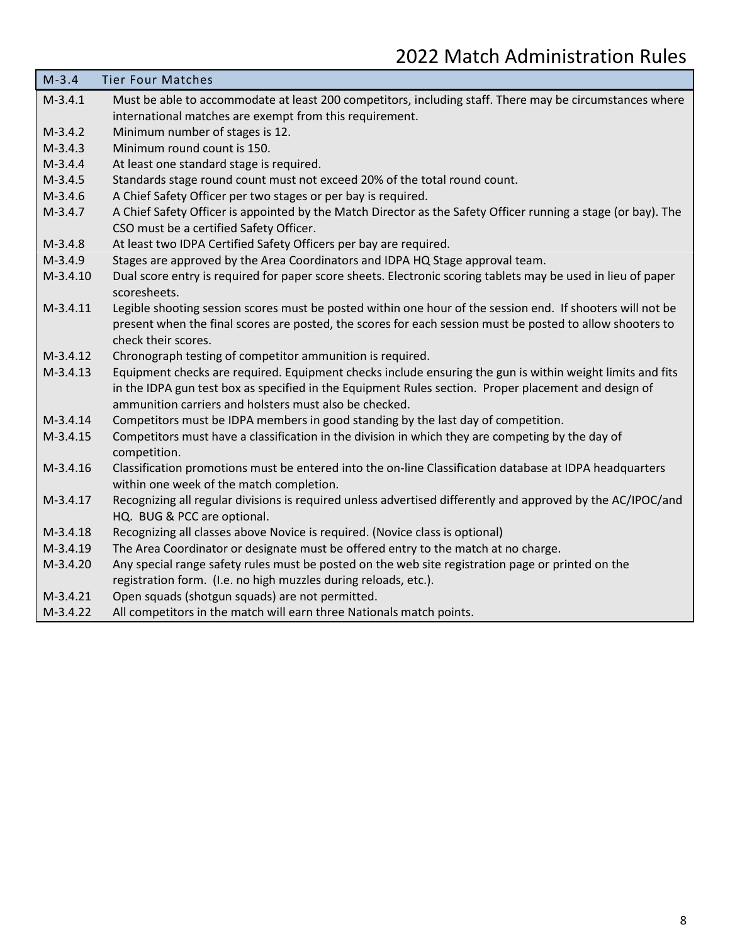| $M-3.4$    | <b>Tier Four Matches</b>                                                                                                                                                                                                                                                    |
|------------|-----------------------------------------------------------------------------------------------------------------------------------------------------------------------------------------------------------------------------------------------------------------------------|
| $M-3.4.1$  | Must be able to accommodate at least 200 competitors, including staff. There may be circumstances where                                                                                                                                                                     |
|            | international matches are exempt from this requirement.                                                                                                                                                                                                                     |
| $M-3.4.2$  | Minimum number of stages is 12.                                                                                                                                                                                                                                             |
| $M-3.4.3$  | Minimum round count is 150.                                                                                                                                                                                                                                                 |
| $M-3.4.4$  | At least one standard stage is required.                                                                                                                                                                                                                                    |
| $M-3.4.5$  | Standards stage round count must not exceed 20% of the total round count.                                                                                                                                                                                                   |
| $M-3.4.6$  | A Chief Safety Officer per two stages or per bay is required.                                                                                                                                                                                                               |
| $M-3.4.7$  | A Chief Safety Officer is appointed by the Match Director as the Safety Officer running a stage (or bay). The<br>CSO must be a certified Safety Officer.                                                                                                                    |
| $M-3.4.8$  | At least two IDPA Certified Safety Officers per bay are required.                                                                                                                                                                                                           |
| $M-3.4.9$  | Stages are approved by the Area Coordinators and IDPA HQ Stage approval team.                                                                                                                                                                                               |
| $M-3.4.10$ | Dual score entry is required for paper score sheets. Electronic scoring tablets may be used in lieu of paper<br>scoresheets.                                                                                                                                                |
| $M-3.4.11$ | Legible shooting session scores must be posted within one hour of the session end. If shooters will not be                                                                                                                                                                  |
|            | present when the final scores are posted, the scores for each session must be posted to allow shooters to                                                                                                                                                                   |
|            | check their scores.                                                                                                                                                                                                                                                         |
| $M-3.4.12$ | Chronograph testing of competitor ammunition is required.                                                                                                                                                                                                                   |
| $M-3.4.13$ | Equipment checks are required. Equipment checks include ensuring the gun is within weight limits and fits<br>in the IDPA gun test box as specified in the Equipment Rules section. Proper placement and design of<br>ammunition carriers and holsters must also be checked. |
| $M-3.4.14$ | Competitors must be IDPA members in good standing by the last day of competition.                                                                                                                                                                                           |
| $M-3.4.15$ | Competitors must have a classification in the division in which they are competing by the day of<br>competition.                                                                                                                                                            |
| $M-3.4.16$ | Classification promotions must be entered into the on-line Classification database at IDPA headquarters<br>within one week of the match completion.                                                                                                                         |
| $M-3.4.17$ | Recognizing all regular divisions is required unless advertised differently and approved by the AC/IPOC/and<br>HQ. BUG & PCC are optional.                                                                                                                                  |
| $M-3.4.18$ | Recognizing all classes above Novice is required. (Novice class is optional)                                                                                                                                                                                                |
| $M-3.4.19$ | The Area Coordinator or designate must be offered entry to the match at no charge.                                                                                                                                                                                          |
| $M-3.4.20$ | Any special range safety rules must be posted on the web site registration page or printed on the                                                                                                                                                                           |
|            | registration form. (I.e. no high muzzles during reloads, etc.).                                                                                                                                                                                                             |
| $M-3.4.21$ | Open squads (shotgun squads) are not permitted.                                                                                                                                                                                                                             |
| $M-3.4.22$ | All competitors in the match will earn three Nationals match points.                                                                                                                                                                                                        |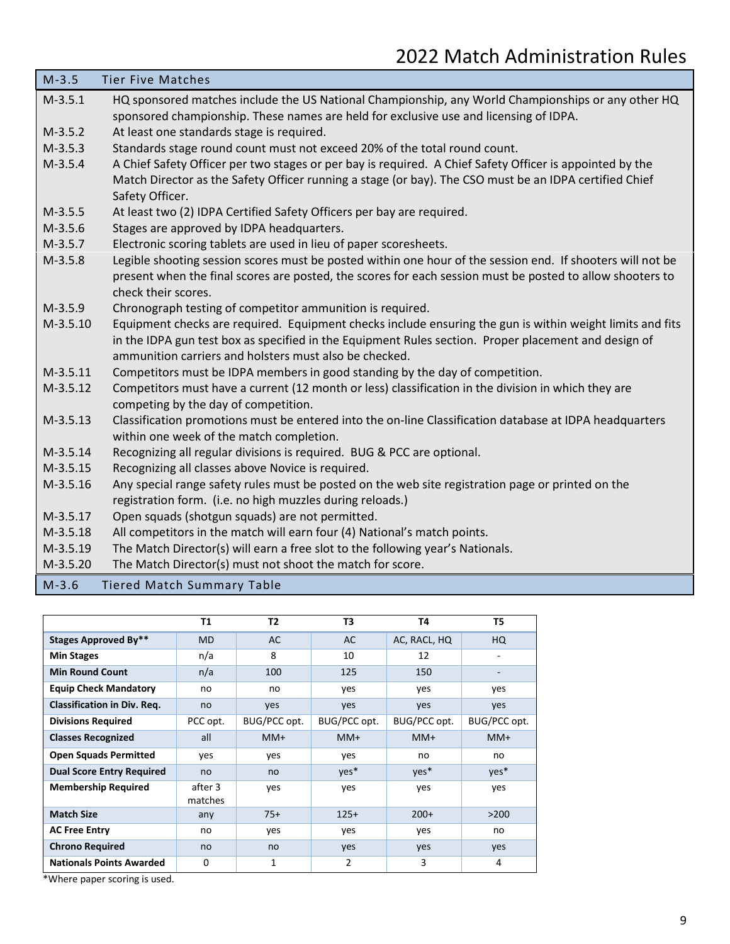| $M-3.5$    | <b>Tier Five Matches</b>                                                                                   |
|------------|------------------------------------------------------------------------------------------------------------|
| $M-3.5.1$  | HQ sponsored matches include the US National Championship, any World Championships or any other HQ         |
|            | sponsored championship. These names are held for exclusive use and licensing of IDPA.                      |
| $M-3.5.2$  | At least one standards stage is required.                                                                  |
| $M-3.5.3$  | Standards stage round count must not exceed 20% of the total round count.                                  |
| $M-3.5.4$  | A Chief Safety Officer per two stages or per bay is required. A Chief Safety Officer is appointed by the   |
|            | Match Director as the Safety Officer running a stage (or bay). The CSO must be an IDPA certified Chief     |
|            | Safety Officer.                                                                                            |
| $M-3.5.5$  | At least two (2) IDPA Certified Safety Officers per bay are required.                                      |
| $M-3.5.6$  | Stages are approved by IDPA headquarters.                                                                  |
| $M-3.5.7$  | Electronic scoring tablets are used in lieu of paper scoresheets.                                          |
| $M-3.5.8$  | Legible shooting session scores must be posted within one hour of the session end. If shooters will not be |
|            | present when the final scores are posted, the scores for each session must be posted to allow shooters to  |
|            | check their scores.                                                                                        |
| $M-3.5.9$  | Chronograph testing of competitor ammunition is required.                                                  |
| $M-3.5.10$ | Equipment checks are required. Equipment checks include ensuring the gun is within weight limits and fits  |
|            | in the IDPA gun test box as specified in the Equipment Rules section. Proper placement and design of       |
|            | ammunition carriers and holsters must also be checked.                                                     |
| $M-3.5.11$ | Competitors must be IDPA members in good standing by the day of competition.                               |
| $M-3.5.12$ | Competitors must have a current (12 month or less) classification in the division in which they are        |
|            | competing by the day of competition.                                                                       |
| $M-3.5.13$ | Classification promotions must be entered into the on-line Classification database at IDPA headquarters    |
|            | within one week of the match completion.                                                                   |
| $M-3.5.14$ | Recognizing all regular divisions is required. BUG & PCC are optional.                                     |
| $M-3.5.15$ | Recognizing all classes above Novice is required.                                                          |
| $M-3.5.16$ | Any special range safety rules must be posted on the web site registration page or printed on the          |
|            | registration form. (i.e. no high muzzles during reloads.)                                                  |
| $M-3.5.17$ | Open squads (shotgun squads) are not permitted.                                                            |
| $M-3.5.18$ | All competitors in the match will earn four (4) National's match points.                                   |
| $M-3.5.19$ | The Match Director(s) will earn a free slot to the following year's Nationals.                             |
| $M-3.5.20$ | The Match Director(s) must not shoot the match for score.                                                  |
| $M-3.6$    | <b>Tiered Match Summary Table</b>                                                                          |

|                                           | T1                 | T <sub>2</sub> | T3             | Т4           | T5           |
|-------------------------------------------|--------------------|----------------|----------------|--------------|--------------|
| <b>Stages Approved By**</b>               | <b>MD</b>          | AC             | AC             | AC, RACL, HQ | HQ           |
| <b>Min Stages</b>                         | n/a                | 8              | 10             | 12           |              |
| <b>Min Round Count</b>                    | n/a                | 100            | 125            | 150          |              |
| <b>Equip Check Mandatory</b>              | no                 | no             | yes            | yes          | yes          |
| <b>Classification in Div. Req.</b>        | no                 | yes            | yes            | yes          | yes          |
| <b>Divisions Required</b>                 | PCC opt.           | BUG/PCC opt.   | BUG/PCC opt.   | BUG/PCC opt. | BUG/PCC opt. |
| <b>Classes Recognized</b>                 | all                | $MM+$          | $MM+$          | $MM+$        | MM+          |
| <b>Open Squads Permitted</b>              | yes                | yes            | yes            | no           | no           |
| <b>Dual Score Entry Required</b>          | no                 | no             | $yes*$         | $yes*$       | $yes*$       |
| <b>Membership Required</b>                | after 3<br>matches | yes            | yes            | yes          | yes          |
| <b>Match Size</b>                         | any                | $75+$          | $125+$         | $200+$       | >200         |
| <b>AC Free Entry</b>                      | no                 | yes            | yes            | yes          | no           |
| <b>Chrono Required</b>                    | no                 | no             | yes            | yes          | yes          |
| <b>Nationals Points Awarded</b><br>$*111$ | $\Omega$           | 1              | $\overline{2}$ | 3            | 4            |

\*Where paper scoring is used.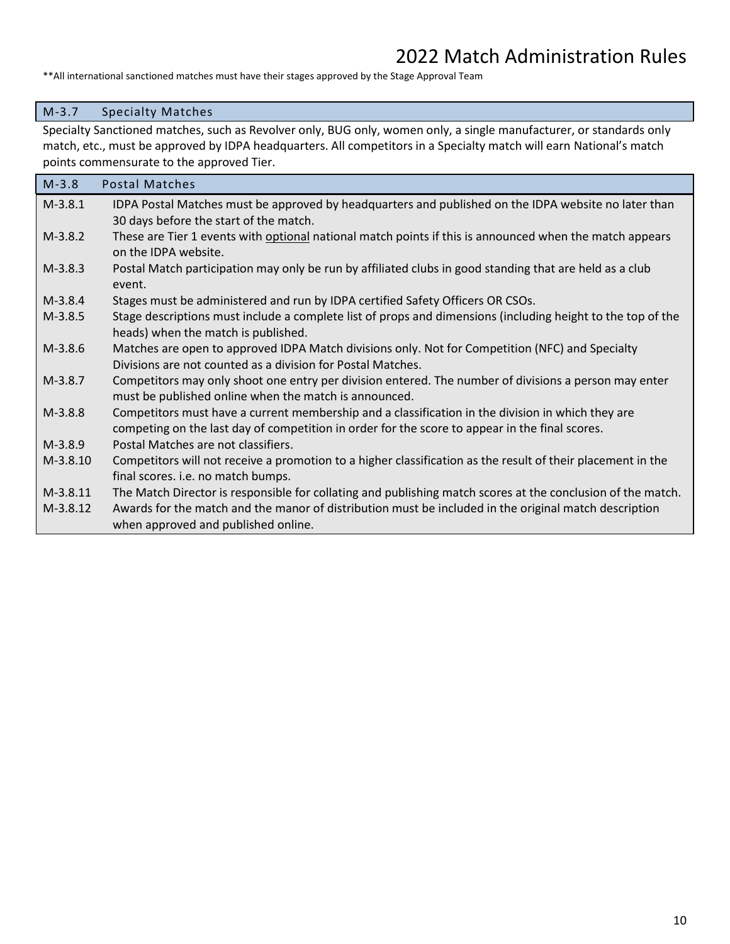\*\*All international sanctioned matches must have their stages approved by the Stage Approval Team

#### M-3.7 Specialty Matches

Specialty Sanctioned matches, such as Revolver only, BUG only, women only, a single manufacturer, or standards only match, etc., must be approved by IDPA headquarters. All competitors in a Specialty match will earn National's match points commensurate to the approved Tier.

| $M-3.8$    | <b>Postal Matches</b>                                                                                       |
|------------|-------------------------------------------------------------------------------------------------------------|
| $M-3.8.1$  | IDPA Postal Matches must be approved by headquarters and published on the IDPA website no later than        |
|            | 30 days before the start of the match.                                                                      |
| $M-3.8.2$  | These are Tier 1 events with optional national match points if this is announced when the match appears     |
|            | on the IDPA website.                                                                                        |
| $M-3.8.3$  | Postal Match participation may only be run by affiliated clubs in good standing that are held as a club     |
|            | event.                                                                                                      |
| $M-3.8.4$  | Stages must be administered and run by IDPA certified Safety Officers OR CSOs.                              |
| $M-3.8.5$  | Stage descriptions must include a complete list of props and dimensions (including height to the top of the |
|            | heads) when the match is published.                                                                         |
| $M-3.8.6$  | Matches are open to approved IDPA Match divisions only. Not for Competition (NFC) and Specialty             |
|            | Divisions are not counted as a division for Postal Matches.                                                 |
| $M-3.8.7$  | Competitors may only shoot one entry per division entered. The number of divisions a person may enter       |
|            | must be published online when the match is announced.                                                       |
| $M-3.8.8$  | Competitors must have a current membership and a classification in the division in which they are           |
|            | competing on the last day of competition in order for the score to appear in the final scores.              |
| $M-3.8.9$  | Postal Matches are not classifiers.                                                                         |
| $M-3.8.10$ | Competitors will not receive a promotion to a higher classification as the result of their placement in the |
|            | final scores. i.e. no match bumps.                                                                          |
| $M-3.8.11$ | The Match Director is responsible for collating and publishing match scores at the conclusion of the match. |
| $M-3.8.12$ | Awards for the match and the manor of distribution must be included in the original match description       |
|            | when approved and published online.                                                                         |
|            |                                                                                                             |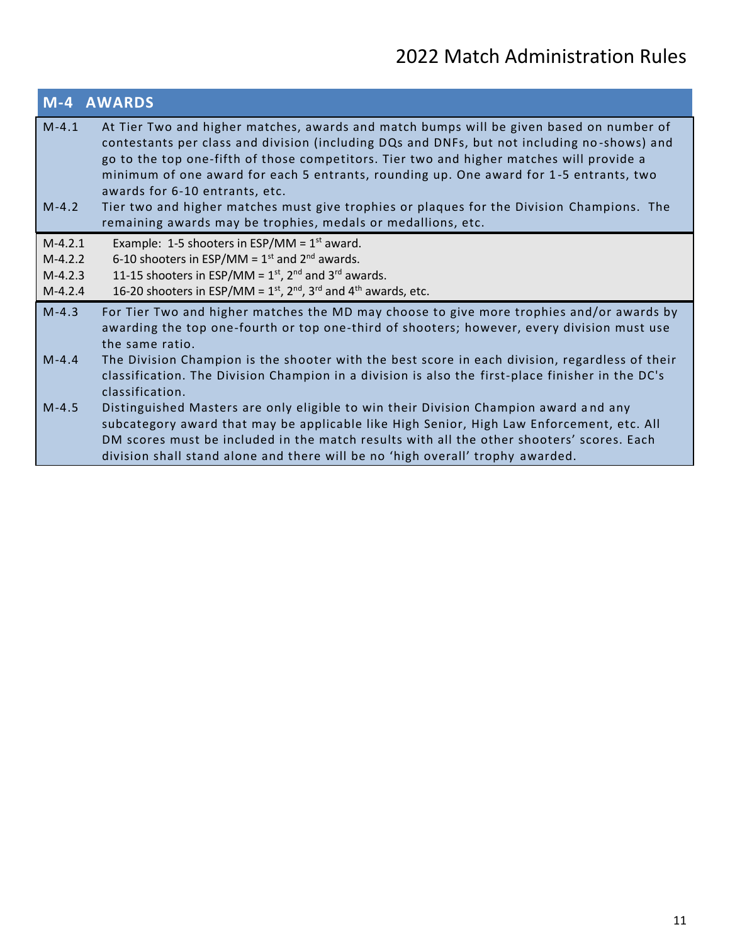|                        | <b>M-4 AWARDS</b>                                                                                                                                                                                                                                                                                                                                                                                                                                                                                                                                                           |
|------------------------|-----------------------------------------------------------------------------------------------------------------------------------------------------------------------------------------------------------------------------------------------------------------------------------------------------------------------------------------------------------------------------------------------------------------------------------------------------------------------------------------------------------------------------------------------------------------------------|
| $M-4.1$<br>$M-4.2$     | At Tier Two and higher matches, awards and match bumps will be given based on number of<br>contestants per class and division (including DQs and DNFs, but not including no-shows) and<br>go to the top one-fifth of those competitors. Tier two and higher matches will provide a<br>minimum of one award for each 5 entrants, rounding up. One award for 1-5 entrants, two<br>awards for 6-10 entrants, etc.<br>Tier two and higher matches must give trophies or plaques for the Division Champions. The<br>remaining awards may be trophies, medals or medallions, etc. |
| $M-4.2.1$              | Example: 1-5 shooters in ESP/MM = $1st$ award.                                                                                                                                                                                                                                                                                                                                                                                                                                                                                                                              |
| $M-4.2.2$<br>$M-4.2.3$ | 6-10 shooters in ESP/MM = $1st$ and $2nd$ awards.<br>11-15 shooters in ESP/MM = $1st$ , $2nd$ and $3rd$ awards.                                                                                                                                                                                                                                                                                                                                                                                                                                                             |
| $M-4.2.4$              | 16-20 shooters in ESP/MM = $1st$ , $2nd$ , $3rd$ and $4th$ awards, etc.                                                                                                                                                                                                                                                                                                                                                                                                                                                                                                     |
| $M-4.3$                | For Tier Two and higher matches the MD may choose to give more trophies and/or awards by<br>awarding the top one-fourth or top one-third of shooters; however, every division must use<br>the same ratio.                                                                                                                                                                                                                                                                                                                                                                   |
| $M-4.4$                | The Division Champion is the shooter with the best score in each division, regardless of their<br>classification. The Division Champion in a division is also the first-place finisher in the DC's<br>classification.                                                                                                                                                                                                                                                                                                                                                       |
| $M-4.5$                | Distinguished Masters are only eligible to win their Division Champion award and any<br>subcategory award that may be applicable like High Senior, High Law Enforcement, etc. All<br>DM scores must be included in the match results with all the other shooters' scores. Each<br>division shall stand alone and there will be no 'high overall' trophy awarded.                                                                                                                                                                                                            |
|                        |                                                                                                                                                                                                                                                                                                                                                                                                                                                                                                                                                                             |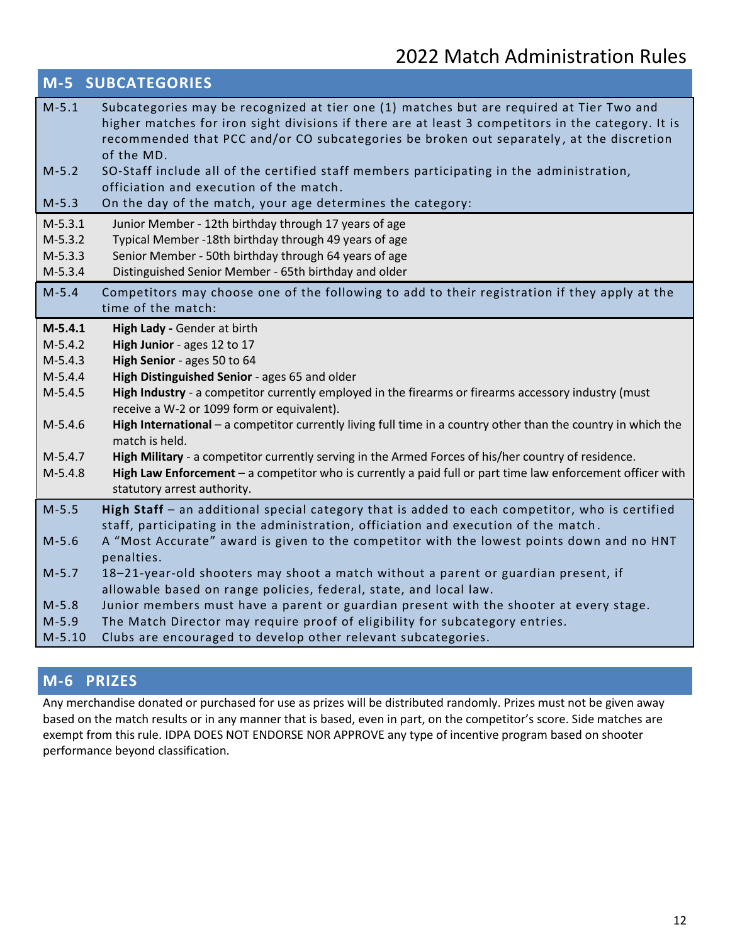|           | <b>M-5 SUBCATEGORIES</b>                                                                                                                                                                                                                                                                                 |
|-----------|----------------------------------------------------------------------------------------------------------------------------------------------------------------------------------------------------------------------------------------------------------------------------------------------------------|
| $M-5.1$   | Subcategories may be recognized at tier one (1) matches but are required at Tier Two and<br>higher matches for iron sight divisions if there are at least 3 competitors in the category. It is<br>recommended that PCC and/or CO subcategories be broken out separately, at the discretion<br>of the MD. |
| $M-5.2$   | SO-Staff include all of the certified staff members participating in the administration,<br>officiation and execution of the match.                                                                                                                                                                      |
| $M-5.3$   | On the day of the match, your age determines the category:                                                                                                                                                                                                                                               |
| $M-5.3.1$ | Junior Member - 12th birthday through 17 years of age                                                                                                                                                                                                                                                    |
| $M-5.3.2$ | Typical Member -18th birthday through 49 years of age                                                                                                                                                                                                                                                    |
| $M-5.3.3$ | Senior Member - 50th birthday through 64 years of age                                                                                                                                                                                                                                                    |
| $M-5.3.4$ | Distinguished Senior Member - 65th birthday and older                                                                                                                                                                                                                                                    |
| $M - 5.4$ | Competitors may choose one of the following to add to their registration if they apply at the<br>time of the match:                                                                                                                                                                                      |
| $M-5.4.1$ | High Lady - Gender at birth                                                                                                                                                                                                                                                                              |
| $M-5.4.2$ | High Junior - ages 12 to 17                                                                                                                                                                                                                                                                              |
| $M-5.4.3$ | High Senior - ages 50 to 64                                                                                                                                                                                                                                                                              |
| $M-5.4.4$ | High Distinguished Senior - ages 65 and older                                                                                                                                                                                                                                                            |
| $M-5.4.5$ | High Industry - a competitor currently employed in the firearms or firearms accessory industry (must<br>receive a W-2 or 1099 form or equivalent).                                                                                                                                                       |
| $M-5.4.6$ | High International - a competitor currently living full time in a country other than the country in which the<br>match is held.                                                                                                                                                                          |
| $M-5.4.7$ | High Military - a competitor currently serving in the Armed Forces of his/her country of residence.                                                                                                                                                                                                      |
| $M-5.4.8$ | High Law Enforcement - a competitor who is currently a paid full or part time law enforcement officer with<br>statutory arrest authority.                                                                                                                                                                |
| $M-5.5$   | High Staff - an additional special category that is added to each competitor, who is certified                                                                                                                                                                                                           |
|           | staff, participating in the administration, officiation and execution of the match.                                                                                                                                                                                                                      |
| $M-5.6$   | A "Most Accurate" award is given to the competitor with the lowest points down and no HNT                                                                                                                                                                                                                |
|           | penalties.                                                                                                                                                                                                                                                                                               |
| $M-5.7$   | 18-21-year-old shooters may shoot a match without a parent or guardian present, if                                                                                                                                                                                                                       |
|           | allowable based on range policies, federal, state, and local law.                                                                                                                                                                                                                                        |
| $M-5.8$   | Junior members must have a parent or guardian present with the shooter at every stage.                                                                                                                                                                                                                   |
| $M-5.9$   | The Match Director may require proof of eligibility for subcategory entries.                                                                                                                                                                                                                             |
| $M-5.10$  | Clubs are encouraged to develop other relevant subcategories.                                                                                                                                                                                                                                            |

### **M-6 PRIZES**

Any merchandise donated or purchased for use as prizes will be distributed randomly. Prizes must not be given away based on the match results or in any manner that is based, even in part, on the competitor's score. Side matches are exempt from this rule. IDPA DOES NOT ENDORSE NOR APPROVE any type of incentive program based on shooter performance beyond classification.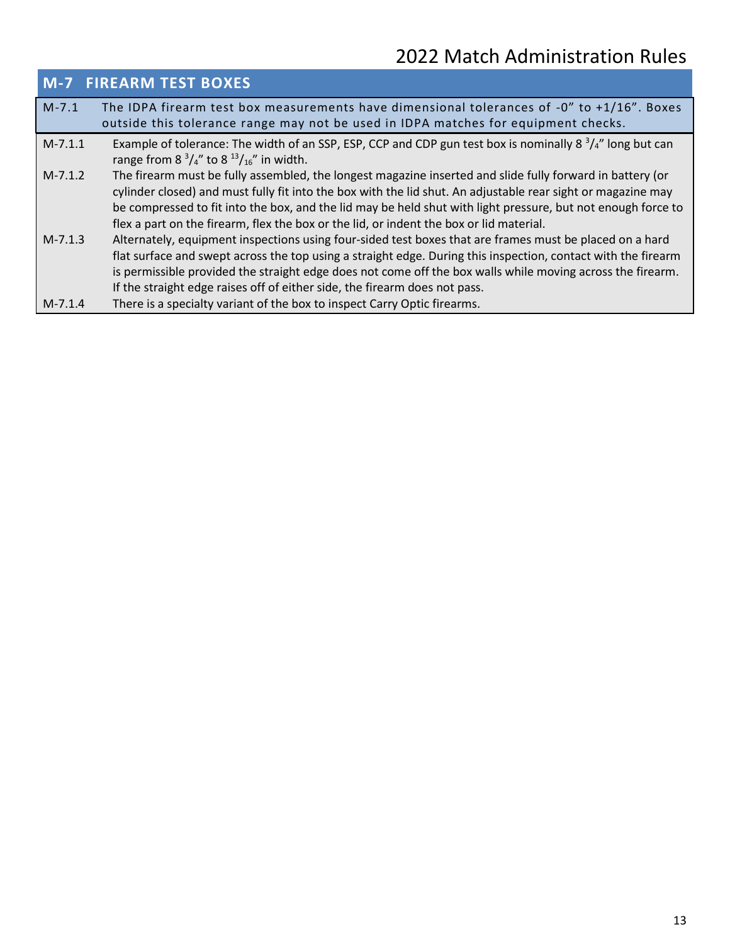|           | <b>M-7 FIREARM TEST BOXES</b>                                                                                                                                                                                                                                                                                                                                                                                                        |
|-----------|--------------------------------------------------------------------------------------------------------------------------------------------------------------------------------------------------------------------------------------------------------------------------------------------------------------------------------------------------------------------------------------------------------------------------------------|
| $M - 7.1$ | The IDPA firearm test box measurements have dimensional tolerances of $-0$ " to $+1/16$ ". Boxes<br>outside this tolerance range may not be used in IDPA matches for equipment checks.                                                                                                                                                                                                                                               |
| $M-7.1.1$ | Example of tolerance: The width of an SSP, ESP, CCP and CDP gun test box is nominally 8 $\frac{3}{4}$ " long but can<br>range from 8 $^{3}/_{4}$ " to 8 $^{13}/_{16}$ " in width.                                                                                                                                                                                                                                                    |
| $M-7.1.2$ | The firearm must be fully assembled, the longest magazine inserted and slide fully forward in battery (or<br>cylinder closed) and must fully fit into the box with the lid shut. An adjustable rear sight or magazine may<br>be compressed to fit into the box, and the lid may be held shut with light pressure, but not enough force to<br>flex a part on the firearm, flex the box or the lid, or indent the box or lid material. |
| $M-7.1.3$ | Alternately, equipment inspections using four-sided test boxes that are frames must be placed on a hard<br>flat surface and swept across the top using a straight edge. During this inspection, contact with the firearm<br>is permissible provided the straight edge does not come off the box walls while moving across the firearm.<br>If the straight edge raises off of either side, the firearm does not pass.                 |
| $M-7.1.4$ | There is a specialty variant of the box to inspect Carry Optic firearms.                                                                                                                                                                                                                                                                                                                                                             |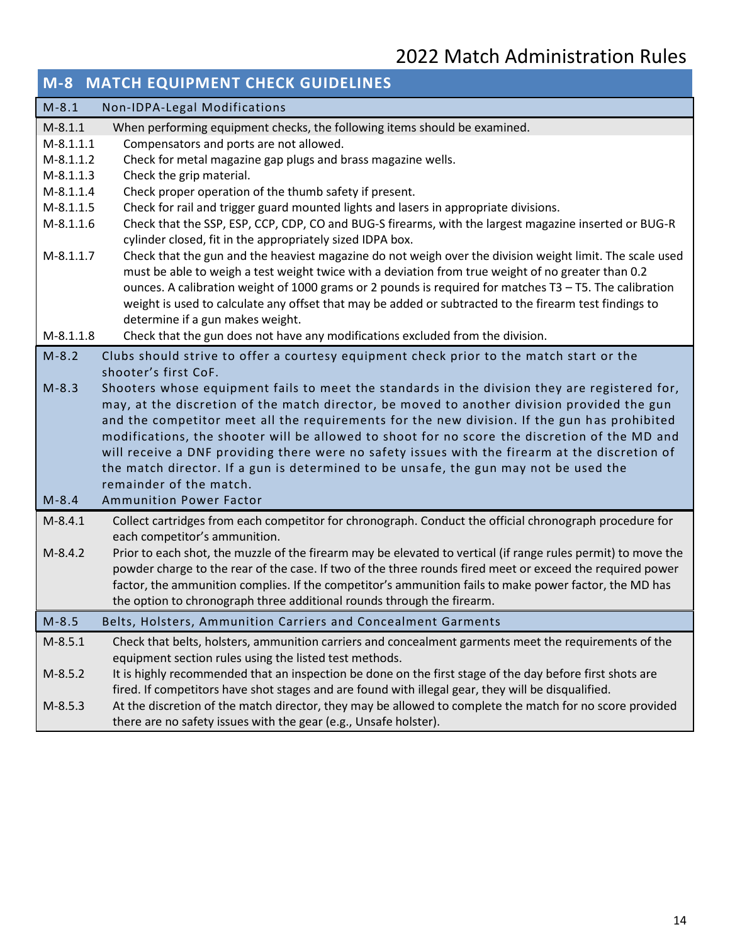|             | <b>M-8 MATCH EQUIPMENT CHECK GUIDELINES</b>                                                                   |
|-------------|---------------------------------------------------------------------------------------------------------------|
| $M-8.1$     | Non-IDPA-Legal Modifications                                                                                  |
| $M-8.1.1$   | When performing equipment checks, the following items should be examined.                                     |
| $M-8.1.1.1$ | Compensators and ports are not allowed.                                                                       |
| $M-8.1.1.2$ | Check for metal magazine gap plugs and brass magazine wells.                                                  |
| $M-8.1.1.3$ | Check the grip material.                                                                                      |
| $M-8.1.1.4$ | Check proper operation of the thumb safety if present.                                                        |
| $M-8.1.1.5$ | Check for rail and trigger guard mounted lights and lasers in appropriate divisions.                          |
| $M-8.1.1.6$ | Check that the SSP, ESP, CCP, CDP, CO and BUG-S firearms, with the largest magazine inserted or BUG-R         |
|             | cylinder closed, fit in the appropriately sized IDPA box.                                                     |
| $M-8.1.1.7$ | Check that the gun and the heaviest magazine do not weigh over the division weight limit. The scale used      |
|             | must be able to weigh a test weight twice with a deviation from true weight of no greater than 0.2            |
|             | ounces. A calibration weight of 1000 grams or 2 pounds is required for matches T3 - T5. The calibration       |
|             | weight is used to calculate any offset that may be added or subtracted to the firearm test findings to        |
|             | determine if a gun makes weight.                                                                              |
| $M-8.1.1.8$ | Check that the gun does not have any modifications excluded from the division.                                |
| $M-8.2$     | Clubs should strive to offer a courtesy equipment check prior to the match start or the                       |
|             | shooter's first CoF.                                                                                          |
| $M - 8.3$   | Shooters whose equipment fails to meet the standards in the division they are registered for,                 |
|             | may, at the discretion of the match director, be moved to another division provided the gun                   |
|             | and the competitor meet all the requirements for the new division. If the gun has prohibited                  |
|             | modifications, the shooter will be allowed to shoot for no score the discretion of the MD and                 |
|             | will receive a DNF providing there were no safety issues with the firearm at the discretion of                |
|             | the match director. If a gun is determined to be unsafe, the gun may not be used the                          |
|             | remainder of the match.                                                                                       |
| $M-8.4$     | <b>Ammunition Power Factor</b>                                                                                |
| $M-8.4.1$   | Collect cartridges from each competitor for chronograph. Conduct the official chronograph procedure for       |
|             | each competitor's ammunition.                                                                                 |
| $M-8.4.2$   | Prior to each shot, the muzzle of the firearm may be elevated to vertical (if range rules permit) to move the |
|             | powder charge to the rear of the case. If two of the three rounds fired meet or exceed the required power     |
|             | factor, the ammunition complies. If the competitor's ammunition fails to make power factor, the MD has        |
|             | the option to chronograph three additional rounds through the firearm.                                        |
| $M-8.5$     | Belts, Holsters, Ammunition Carriers and Concealment Garments                                                 |
| $M-8.5.1$   | Check that belts, holsters, ammunition carriers and concealment garments meet the requirements of the         |
|             | equipment section rules using the listed test methods.                                                        |
| $M-8.5.2$   | It is highly recommended that an inspection be done on the first stage of the day before first shots are      |
|             | fired. If competitors have shot stages and are found with illegal gear, they will be disqualified.            |
| $M-8.5.3$   | At the discretion of the match director, they may be allowed to complete the match for no score provided      |
|             | there are no safety issues with the gear (e.g., Unsafe holster).                                              |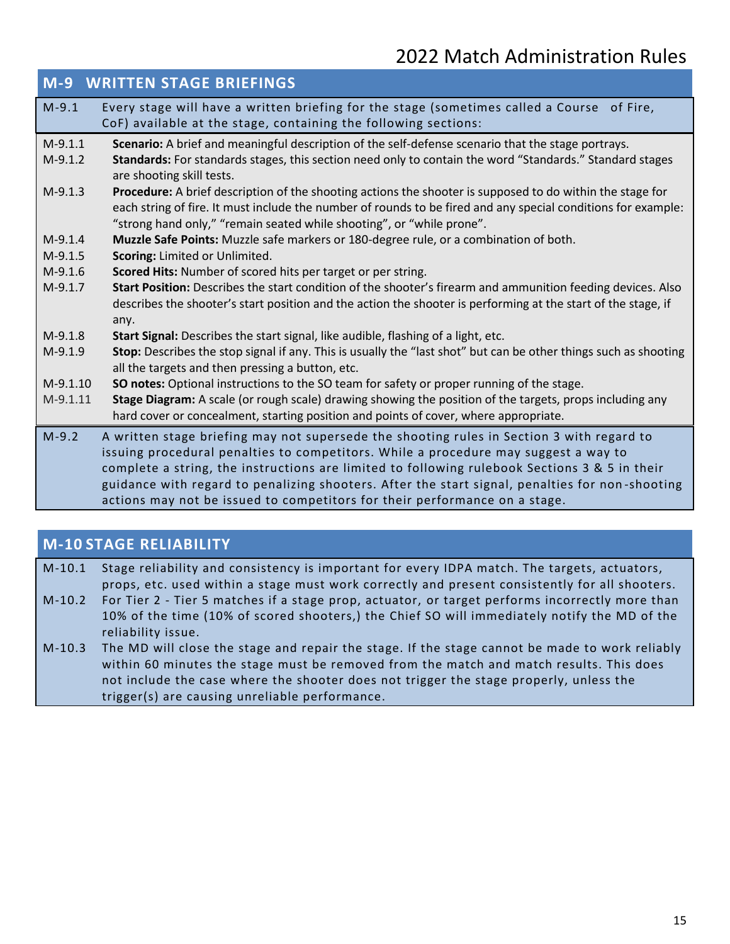|            | <b>M-9 WRITTEN STAGE BRIEFINGS</b>                                                                                                                                                    |
|------------|---------------------------------------------------------------------------------------------------------------------------------------------------------------------------------------|
| $M-9.1$    | Every stage will have a written briefing for the stage (sometimes called a Course of Fire,                                                                                            |
|            | CoF) available at the stage, containing the following sections:                                                                                                                       |
| $M-9.1.1$  | Scenario: A brief and meaningful description of the self-defense scenario that the stage portrays.                                                                                    |
| $M-9.1.2$  | Standards: For standards stages, this section need only to contain the word "Standards." Standard stages                                                                              |
|            | are shooting skill tests.                                                                                                                                                             |
| $M-9.1.3$  | Procedure: A brief description of the shooting actions the shooter is supposed to do within the stage for                                                                             |
|            | each string of fire. It must include the number of rounds to be fired and any special conditions for example:                                                                         |
|            | "strong hand only," "remain seated while shooting", or "while prone".                                                                                                                 |
| $M-9.1.4$  | Muzzle Safe Points: Muzzle safe markers or 180-degree rule, or a combination of both.                                                                                                 |
| $M-9.1.5$  | Scoring: Limited or Unlimited.                                                                                                                                                        |
| $M-9.1.6$  | Scored Hits: Number of scored hits per target or per string.                                                                                                                          |
| $M-9.1.7$  | Start Position: Describes the start condition of the shooter's firearm and ammunition feeding devices. Also                                                                           |
|            | describes the shooter's start position and the action the shooter is performing at the start of the stage, if                                                                         |
|            | any.                                                                                                                                                                                  |
| $M-9.1.8$  | Start Signal: Describes the start signal, like audible, flashing of a light, etc.                                                                                                     |
| $M-9.1.9$  | Stop: Describes the stop signal if any. This is usually the "last shot" but can be other things such as shooting                                                                      |
|            | all the targets and then pressing a button, etc.                                                                                                                                      |
| $M-9.1.10$ | <b>SO notes:</b> Optional instructions to the SO team for safety or proper running of the stage.                                                                                      |
| $M-9.1.11$ | Stage Diagram: A scale (or rough scale) drawing showing the position of the targets, props including any                                                                              |
|            | hard cover or concealment, starting position and points of cover, where appropriate.                                                                                                  |
| $M-9.2$    | A written stage briefing may not supersede the shooting rules in Section 3 with regard to                                                                                             |
|            | issuing procedural penalties to competitors. While a procedure may suggest a way to                                                                                                   |
|            | complete a string, the instructions are limited to following rulebook Sections 3 & 5 in their                                                                                         |
|            | guidance with regard to penalizing shooters. After the start signal, penalties for non-shooting                                                                                       |
|            | actions may not be issued to competitors for their performance on a stage.                                                                                                            |
|            |                                                                                                                                                                                       |
|            | $\mathcal{L} = \mathcal{L} + \mathcal{L} = \mathcal{L} + \mathcal{L} = \mathcal{L} + \mathcal{L} + \mathcal{L} = \mathcal{L} + \mathcal{L} + \mathcal{L} + \mathcal{L} + \mathcal{L}$ |

### **M-10 STAGE RELIABILITY**

| $M-10.1$ | Stage reliability and consistency is important for every IDPA match. The targets, actuators,    |
|----------|-------------------------------------------------------------------------------------------------|
|          | props, etc. used within a stage must work correctly and present consistently for all shooters.  |
| $M-10.2$ | For Tier 2 - Tier 5 matches if a stage prop, actuator, or target performs incorrectly more than |
|          | 10% of the time (10% of scored shooters,) the Chief SO will immediately notify the MD of the    |
|          | reliability issue.                                                                              |
| $M-10.3$ | The MD will close the stage and repair the stage. If the stage cannot be made to work reliably  |
|          | within 60 minutes the stage must be removed from the match and match results. This does         |

within 60 minutes the stage must be removed from the match and match results. not include the case where the shooter does not trigger the stage properly, unless the trigger(s) are causing unreliable performance.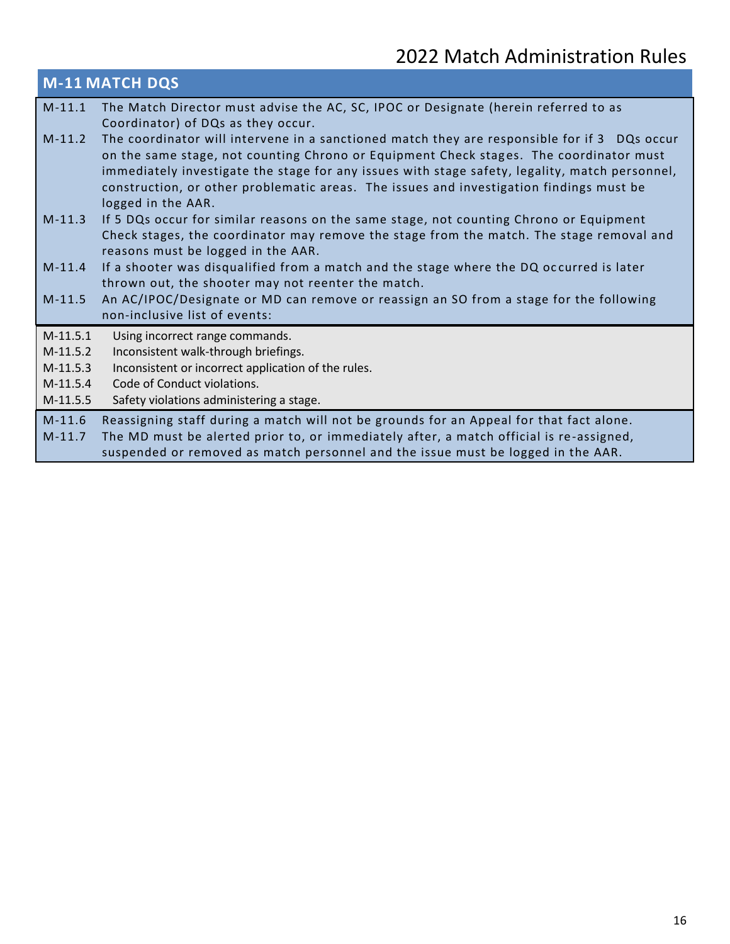#### **M-11 MATCH DQS** M-11.1 The Match Director must advise the AC, SC, IPOC or Designate (herein referred to as Coordinator) of DQs as they occur. M-11.2 The coordinator will intervene in a sanctioned match they are responsible for if 3 DQs occur on the same stage, not counting Chrono or Equipment Check stages. The coordinator must immediately investigate the stage for any issues with stage safety, legality, match personnel, construction, or other problematic areas. The issues and investigation findings must be logged in the AAR. M-11.3 If 5 DQs occur for similar reasons on the same stage, not counting Chrono or Equipment Check stages, the coordinator may remove the stage from the match. The stage removal and reasons must be logged in the AAR. M-11.4 If a shooter was disqualified from a match and the stage where the DQ oc curred is later thrown out, the shooter may not reenter the match. M-11.5 An AC/IPOC/Designate or MD can remove or reassign an SO from a stage for the following non-inclusive list of events: M-11.5.1 Using incorrect range commands. M-11.5.2 Inconsistent walk-through briefings. M-11.5.3 Inconsistent or incorrect application of the rules. M-11.5.4 Code of Conduct violations. M-11.5.5 Safety violations administering a stage.

M-11.6 Reassigning staff during a match will not be grounds for an Appeal for that fact alone. M-11.7 The MD must be alerted prior to, or immediately after, a match official is re-assigned, suspended or removed as match personnel and the issue must be logged in the AAR.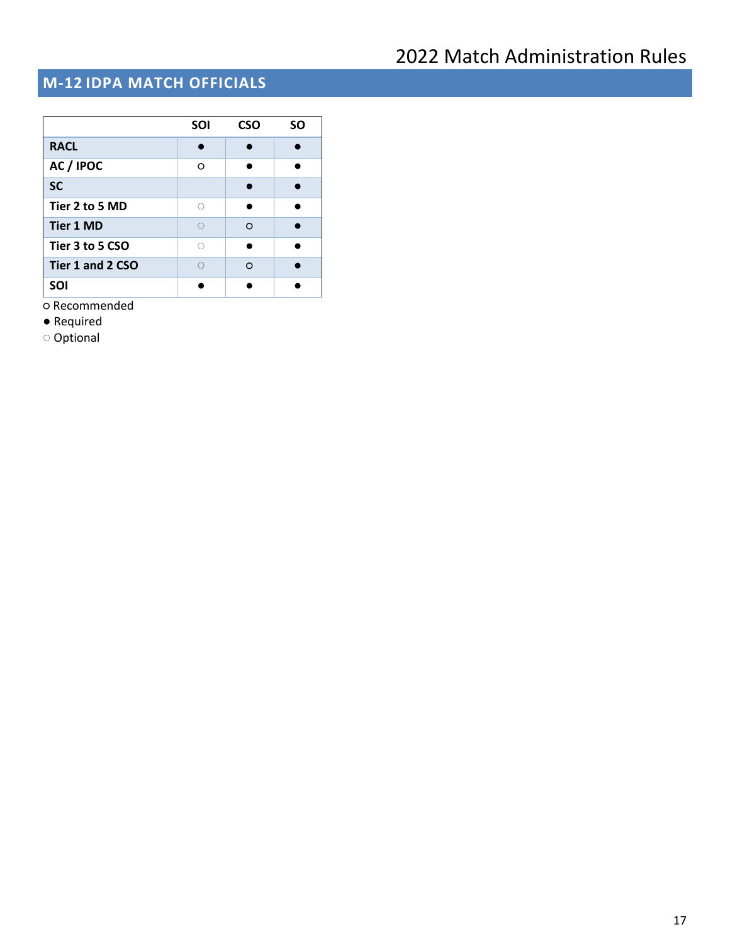## **M-12 IDPA MATCH OFFICIALS**

|                  | <b>SOI</b> | <b>CSO</b> | SΟ |
|------------------|------------|------------|----|
| <b>RACL</b>      |            |            |    |
| AC / IPOC        | ∩          |            |    |
| <b>SC</b>        |            |            |    |
| Tier 2 to 5 MD   | O          |            |    |
| <b>Tier 1 MD</b> | O          | $\Omega$   |    |
| Tier 3 to 5 CSO  | Ō          |            |    |
| Tier 1 and 2 CSO | O          | $\Omega$   |    |
| SOI              |            |            |    |

○ Recommended

● Required

◌ Optional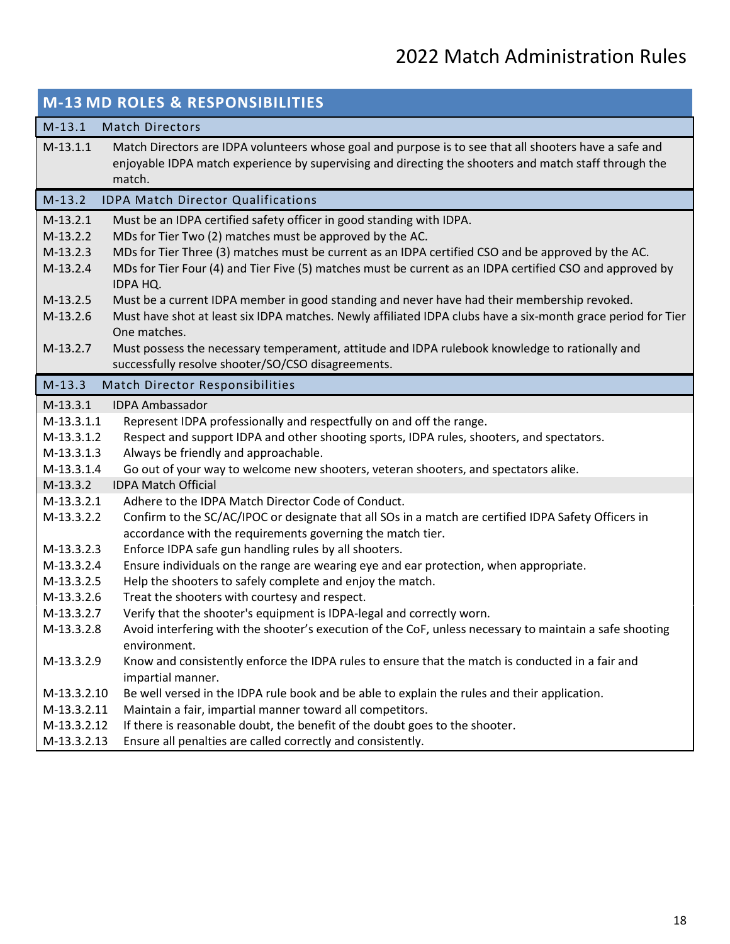|                            | <b>M-13 MD ROLES &amp; RESPONSIBILITIES</b>                                                                                                                                                                               |
|----------------------------|---------------------------------------------------------------------------------------------------------------------------------------------------------------------------------------------------------------------------|
| $M-13.1$                   | <b>Match Directors</b>                                                                                                                                                                                                    |
| $M-13.1.1$                 | Match Directors are IDPA volunteers whose goal and purpose is to see that all shooters have a safe and<br>enjoyable IDPA match experience by supervising and directing the shooters and match staff through the<br>match. |
| $M-13.2$                   | <b>IDPA Match Director Qualifications</b>                                                                                                                                                                                 |
| $M-13.2.1$                 | Must be an IDPA certified safety officer in good standing with IDPA.                                                                                                                                                      |
| $M-13.2.2$                 | MDs for Tier Two (2) matches must be approved by the AC.                                                                                                                                                                  |
| $M-13.2.3$                 | MDs for Tier Three (3) matches must be current as an IDPA certified CSO and be approved by the AC.                                                                                                                        |
| $M-13.2.4$                 | MDs for Tier Four (4) and Tier Five (5) matches must be current as an IDPA certified CSO and approved by<br>IDPA HQ.                                                                                                      |
| $M-13.2.5$                 | Must be a current IDPA member in good standing and never have had their membership revoked.                                                                                                                               |
| $M-13.2.6$                 | Must have shot at least six IDPA matches. Newly affiliated IDPA clubs have a six-month grace period for Tier<br>One matches.                                                                                              |
| M-13.2.7                   | Must possess the necessary temperament, attitude and IDPA rulebook knowledge to rationally and                                                                                                                            |
|                            | successfully resolve shooter/SO/CSO disagreements.                                                                                                                                                                        |
| $M-13.3$                   | Match Director Responsibilities                                                                                                                                                                                           |
| $M-13.3.1$                 | <b>IDPA Ambassador</b>                                                                                                                                                                                                    |
| $M-13.3.1.1$               | Represent IDPA professionally and respectfully on and off the range.                                                                                                                                                      |
| M-13.3.1.2                 | Respect and support IDPA and other shooting sports, IDPA rules, shooters, and spectators.                                                                                                                                 |
| M-13.3.1.3                 | Always be friendly and approachable.                                                                                                                                                                                      |
| M-13.3.1.4                 | Go out of your way to welcome new shooters, veteran shooters, and spectators alike.                                                                                                                                       |
| $M-13.3.2$                 | <b>IDPA Match Official</b>                                                                                                                                                                                                |
| $M-13.3.2.1$<br>M-13.3.2.2 | Adhere to the IDPA Match Director Code of Conduct.<br>Confirm to the SC/AC/IPOC or designate that all SOs in a match are certified IDPA Safety Officers in                                                                |
|                            | accordance with the requirements governing the match tier.                                                                                                                                                                |
| M-13.3.2.3                 | Enforce IDPA safe gun handling rules by all shooters.                                                                                                                                                                     |
| M-13.3.2.4                 | Ensure individuals on the range are wearing eye and ear protection, when appropriate.                                                                                                                                     |
| M-13.3.2.5                 | Help the shooters to safely complete and enjoy the match.                                                                                                                                                                 |
| M-13.3.2.6                 | Treat the shooters with courtesy and respect.                                                                                                                                                                             |
| M-13.3.2.7                 | Verify that the shooter's equipment is IDPA-legal and correctly worn.                                                                                                                                                     |
| M-13.3.2.8                 | Avoid interfering with the shooter's execution of the CoF, unless necessary to maintain a safe shooting<br>environment.                                                                                                   |
| M-13.3.2.9                 | Know and consistently enforce the IDPA rules to ensure that the match is conducted in a fair and<br>impartial manner.                                                                                                     |
| M-13.3.2.10                | Be well versed in the IDPA rule book and be able to explain the rules and their application.                                                                                                                              |
| M-13.3.2.11                | Maintain a fair, impartial manner toward all competitors.                                                                                                                                                                 |
| M-13.3.2.12                | If there is reasonable doubt, the benefit of the doubt goes to the shooter.                                                                                                                                               |
| M-13.3.2.13                | Ensure all penalties are called correctly and consistently.                                                                                                                                                               |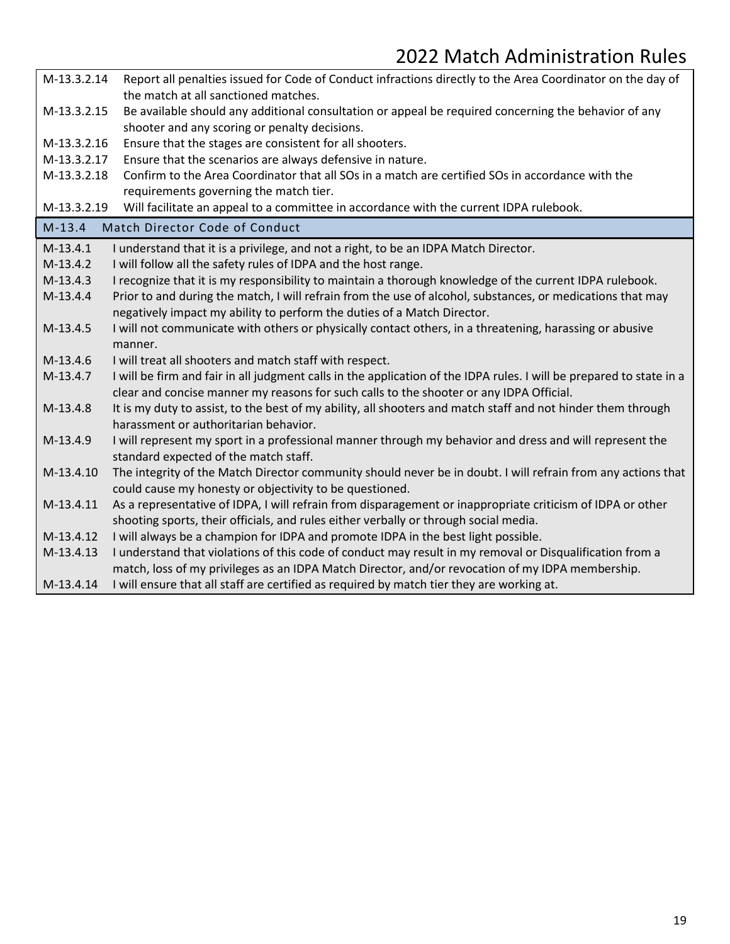| M-13.3.2.14 | Report all penalties issued for Code of Conduct infractions directly to the Area Coordinator on the day of                                                                                                      |
|-------------|-----------------------------------------------------------------------------------------------------------------------------------------------------------------------------------------------------------------|
|             | the match at all sanctioned matches.                                                                                                                                                                            |
| M-13.3.2.15 | Be available should any additional consultation or appeal be required concerning the behavior of any                                                                                                            |
|             | shooter and any scoring or penalty decisions.                                                                                                                                                                   |
| M-13.3.2.16 | Ensure that the stages are consistent for all shooters.                                                                                                                                                         |
| M-13.3.2.17 | Ensure that the scenarios are always defensive in nature.                                                                                                                                                       |
| M-13.3.2.18 | Confirm to the Area Coordinator that all SOs in a match are certified SOs in accordance with the                                                                                                                |
|             | requirements governing the match tier.                                                                                                                                                                          |
| M-13.3.2.19 | Will facilitate an appeal to a committee in accordance with the current IDPA rulebook.                                                                                                                          |
| $M-13.4$    | Match Director Code of Conduct                                                                                                                                                                                  |
| $M-13.4.1$  | I understand that it is a privilege, and not a right, to be an IDPA Match Director.                                                                                                                             |
| $M-13.4.2$  | I will follow all the safety rules of IDPA and the host range.                                                                                                                                                  |
| $M-13.4.3$  | I recognize that it is my responsibility to maintain a thorough knowledge of the current IDPA rulebook.                                                                                                         |
| $M-13.4.4$  | Prior to and during the match, I will refrain from the use of alcohol, substances, or medications that may                                                                                                      |
|             | negatively impact my ability to perform the duties of a Match Director.                                                                                                                                         |
| $M-13.4.5$  | I will not communicate with others or physically contact others, in a threatening, harassing or abusive                                                                                                         |
|             | manner.                                                                                                                                                                                                         |
| M-13.4.6    | I will treat all shooters and match staff with respect.                                                                                                                                                         |
| M-13.4.7    | I will be firm and fair in all judgment calls in the application of the IDPA rules. I will be prepared to state in a<br>clear and concise manner my reasons for such calls to the shooter or any IDPA Official. |
| $M-13.4.8$  | It is my duty to assist, to the best of my ability, all shooters and match staff and not hinder them through                                                                                                    |
|             | harassment or authoritarian behavior.                                                                                                                                                                           |
| M-13.4.9    | I will represent my sport in a professional manner through my behavior and dress and will represent the<br>standard expected of the match staff.                                                                |
| M-13.4.10   | The integrity of the Match Director community should never be in doubt. I will refrain from any actions that                                                                                                    |
|             | could cause my honesty or objectivity to be questioned.                                                                                                                                                         |
| M-13.4.11   | As a representative of IDPA, I will refrain from disparagement or inappropriate criticism of IDPA or other                                                                                                      |
|             | shooting sports, their officials, and rules either verbally or through social media.                                                                                                                            |
| M-13.4.12   | I will always be a champion for IDPA and promote IDPA in the best light possible.                                                                                                                               |
| M-13.4.13   | I understand that violations of this code of conduct may result in my removal or Disqualification from a                                                                                                        |
|             | match, loss of my privileges as an IDPA Match Director, and/or revocation of my IDPA membership.                                                                                                                |
| M-13.4.14   | I will ensure that all staff are certified as required by match tier they are working at.                                                                                                                       |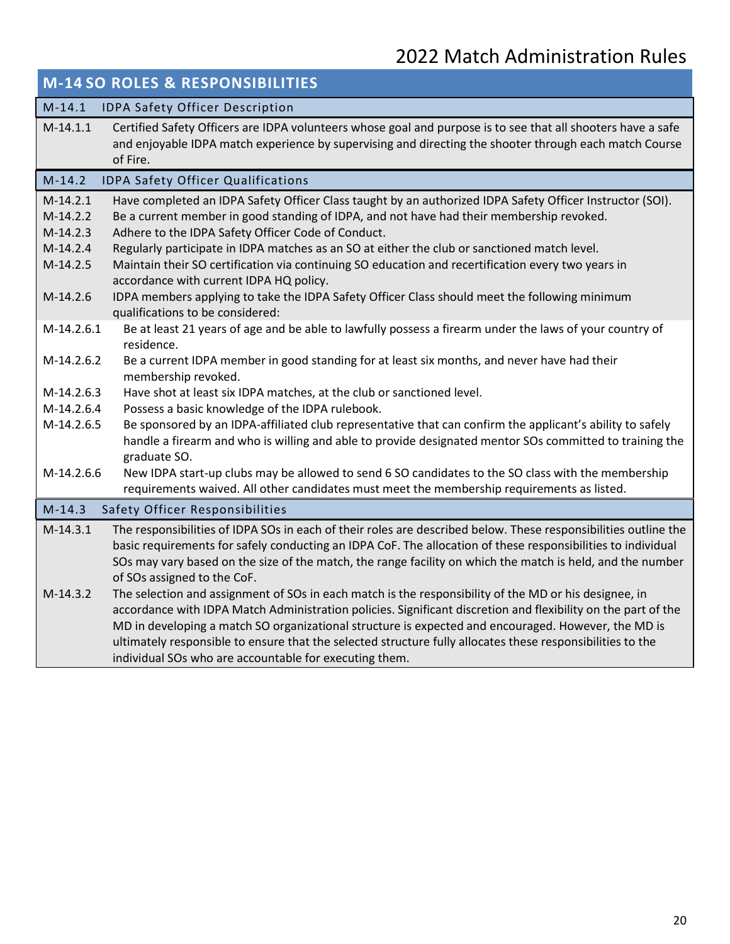|                                        | <b>M-14 SO ROLES &amp; RESPONSIBILITIES</b>                                                                                                                                                                                                                                                                                                                                                                                                                                           |
|----------------------------------------|---------------------------------------------------------------------------------------------------------------------------------------------------------------------------------------------------------------------------------------------------------------------------------------------------------------------------------------------------------------------------------------------------------------------------------------------------------------------------------------|
| $M-14.1$                               | IDPA Safety Officer Description                                                                                                                                                                                                                                                                                                                                                                                                                                                       |
| $M-14.1.1$                             | Certified Safety Officers are IDPA volunteers whose goal and purpose is to see that all shooters have a safe<br>and enjoyable IDPA match experience by supervising and directing the shooter through each match Course<br>of Fire.                                                                                                                                                                                                                                                    |
| $M-14.2$                               | <b>IDPA Safety Officer Qualifications</b>                                                                                                                                                                                                                                                                                                                                                                                                                                             |
| $M-14.2.1$<br>$M-14.2.2$<br>$M-14.2.3$ | Have completed an IDPA Safety Officer Class taught by an authorized IDPA Safety Officer Instructor (SOI).<br>Be a current member in good standing of IDPA, and not have had their membership revoked.<br>Adhere to the IDPA Safety Officer Code of Conduct.                                                                                                                                                                                                                           |
| $M-14.2.4$<br>$M-14.2.5$               | Regularly participate in IDPA matches as an SO at either the club or sanctioned match level.<br>Maintain their SO certification via continuing SO education and recertification every two years in<br>accordance with current IDPA HQ policy.                                                                                                                                                                                                                                         |
| $M-14.2.6$                             | IDPA members applying to take the IDPA Safety Officer Class should meet the following minimum<br>qualifications to be considered:                                                                                                                                                                                                                                                                                                                                                     |
| M-14.2.6.1                             | Be at least 21 years of age and be able to lawfully possess a firearm under the laws of your country of<br>residence.                                                                                                                                                                                                                                                                                                                                                                 |
| M-14.2.6.2                             | Be a current IDPA member in good standing for at least six months, and never have had their<br>membership revoked.                                                                                                                                                                                                                                                                                                                                                                    |
| M-14.2.6.3                             | Have shot at least six IDPA matches, at the club or sanctioned level.                                                                                                                                                                                                                                                                                                                                                                                                                 |
| M-14.2.6.4                             | Possess a basic knowledge of the IDPA rulebook.                                                                                                                                                                                                                                                                                                                                                                                                                                       |
| M-14.2.6.5                             | Be sponsored by an IDPA-affiliated club representative that can confirm the applicant's ability to safely<br>handle a firearm and who is willing and able to provide designated mentor SOs committed to training the<br>graduate SO.                                                                                                                                                                                                                                                  |
| M-14.2.6.6                             | New IDPA start-up clubs may be allowed to send 6 SO candidates to the SO class with the membership<br>requirements waived. All other candidates must meet the membership requirements as listed.                                                                                                                                                                                                                                                                                      |
| $M-14.3$                               | Safety Officer Responsibilities                                                                                                                                                                                                                                                                                                                                                                                                                                                       |
| $M-14.3.1$<br>$M-14.3.2$               | The responsibilities of IDPA SOs in each of their roles are described below. These responsibilities outline the<br>basic requirements for safely conducting an IDPA CoF. The allocation of these responsibilities to individual<br>SOs may vary based on the size of the match, the range facility on which the match is held, and the number<br>of SOs assigned to the CoF.<br>The selection and assignment of SOs in each match is the responsibility of the MD or his designee, in |
|                                        | accordance with IDPA Match Administration policies. Significant discretion and flexibility on the part of the<br>MD in developing a match SO organizational structure is expected and encouraged. However, the MD is<br>ultimately responsible to ensure that the selected structure fully allocates these responsibilities to the<br>individual SOs who are accountable for executing them.                                                                                          |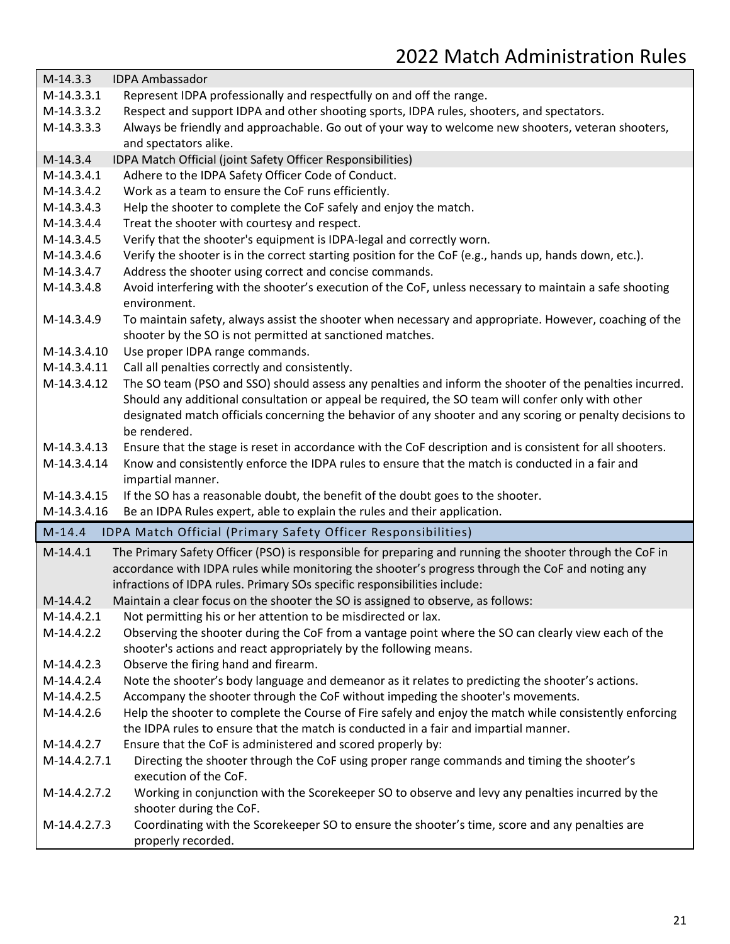| $M-14.3.3$   | <b>IDPA Ambassador</b>                                                                                                  |
|--------------|-------------------------------------------------------------------------------------------------------------------------|
| M-14.3.3.1   | Represent IDPA professionally and respectfully on and off the range.                                                    |
| M-14.3.3.2   | Respect and support IDPA and other shooting sports, IDPA rules, shooters, and spectators.                               |
| M-14.3.3.3   | Always be friendly and approachable. Go out of your way to welcome new shooters, veteran shooters,                      |
|              | and spectators alike.                                                                                                   |
| $M-14.3.4$   | IDPA Match Official (joint Safety Officer Responsibilities)                                                             |
| $M-14.3.4.1$ | Adhere to the IDPA Safety Officer Code of Conduct.                                                                      |
| M-14.3.4.2   | Work as a team to ensure the CoF runs efficiently.                                                                      |
| M-14.3.4.3   | Help the shooter to complete the CoF safely and enjoy the match.                                                        |
| M-14.3.4.4   | Treat the shooter with courtesy and respect.                                                                            |
| M-14.3.4.5   | Verify that the shooter's equipment is IDPA-legal and correctly worn.                                                   |
| M-14.3.4.6   | Verify the shooter is in the correct starting position for the CoF (e.g., hands up, hands down, etc.).                  |
| M-14.3.4.7   | Address the shooter using correct and concise commands.                                                                 |
| M-14.3.4.8   | Avoid interfering with the shooter's execution of the CoF, unless necessary to maintain a safe shooting<br>environment. |
| M-14.3.4.9   | To maintain safety, always assist the shooter when necessary and appropriate. However, coaching of the                  |
|              | shooter by the SO is not permitted at sanctioned matches.                                                               |
| M-14.3.4.10  | Use proper IDPA range commands.                                                                                         |
| M-14.3.4.11  | Call all penalties correctly and consistently.                                                                          |
| M-14.3.4.12  | The SO team (PSO and SSO) should assess any penalties and inform the shooter of the penalties incurred.                 |
|              | Should any additional consultation or appeal be required, the SO team will confer only with other                       |
|              | designated match officials concerning the behavior of any shooter and any scoring or penalty decisions to               |
|              | be rendered.                                                                                                            |
| M-14.3.4.13  | Ensure that the stage is reset in accordance with the CoF description and is consistent for all shooters.               |
| M-14.3.4.14  | Know and consistently enforce the IDPA rules to ensure that the match is conducted in a fair and<br>impartial manner.   |
| M-14.3.4.15  | If the SO has a reasonable doubt, the benefit of the doubt goes to the shooter.                                         |
| M-14.3.4.16  | Be an IDPA Rules expert, able to explain the rules and their application.                                               |
| $M-14.4$     | IDPA Match Official (Primary Safety Officer Responsibilities)                                                           |
| $M-14.4.1$   | The Primary Safety Officer (PSO) is responsible for preparing and running the shooter through the CoF in                |
|              | accordance with IDPA rules while monitoring the shooter's progress through the CoF and noting any                       |
|              | infractions of IDPA rules. Primary SOs specific responsibilities include:                                               |
| $M-14.4.2$   | Maintain a clear focus on the shooter the SO is assigned to observe, as follows:                                        |
| M-14.4.2.1   | Not permitting his or her attention to be misdirected or lax.                                                           |
| M-14.4.2.2   | Observing the shooter during the CoF from a vantage point where the SO can clearly view each of the                     |
|              | shooter's actions and react appropriately by the following means.                                                       |
| M-14.4.2.3   | Observe the firing hand and firearm.                                                                                    |
| M-14.4.2.4   | Note the shooter's body language and demeanor as it relates to predicting the shooter's actions.                        |
| M-14.4.2.5   | Accompany the shooter through the CoF without impeding the shooter's movements.                                         |
| M-14.4.2.6   | Help the shooter to complete the Course of Fire safely and enjoy the match while consistently enforcing                 |
|              | the IDPA rules to ensure that the match is conducted in a fair and impartial manner.                                    |
| M-14.4.2.7   | Ensure that the CoF is administered and scored properly by:                                                             |
| M-14.4.2.7.1 | Directing the shooter through the CoF using proper range commands and timing the shooter's<br>execution of the CoF.     |
| M-14.4.2.7.2 | Working in conjunction with the Scorekeeper SO to observe and levy any penalties incurred by the                        |
|              | shooter during the CoF.                                                                                                 |
| M-14.4.2.7.3 | Coordinating with the Scorekeeper SO to ensure the shooter's time, score and any penalties are<br>properly recorded.    |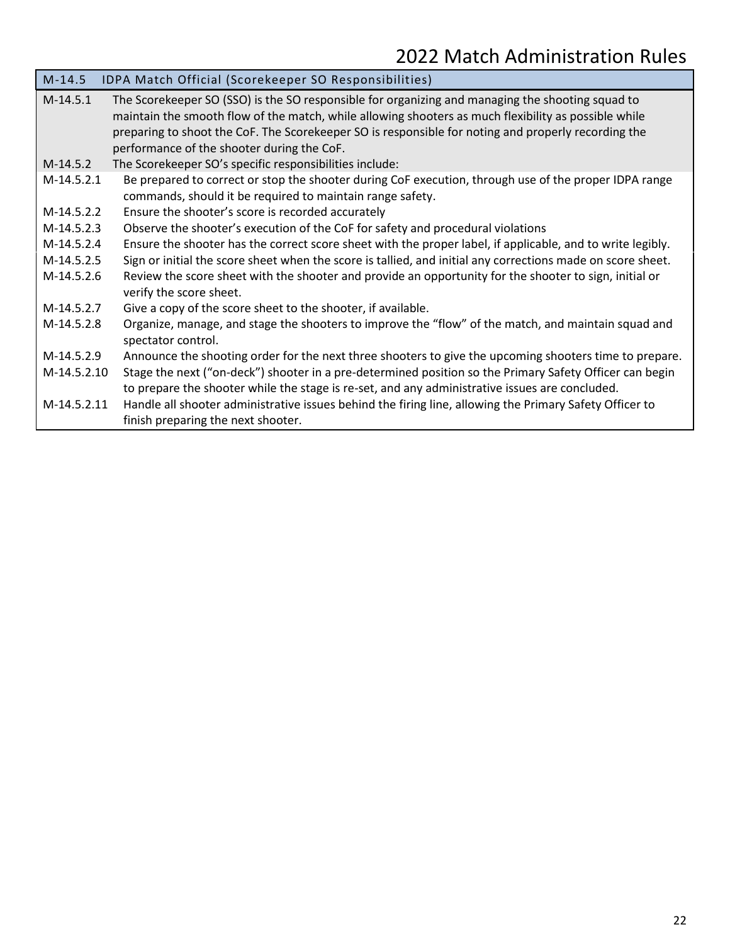| $M-14.5$                 | IDPA Match Official (Scorekeeper SO Responsibilities)                                                                                                                                                                                                                                                                                                                                                                    |
|--------------------------|--------------------------------------------------------------------------------------------------------------------------------------------------------------------------------------------------------------------------------------------------------------------------------------------------------------------------------------------------------------------------------------------------------------------------|
| $M-14.5.1$<br>$M-14.5.2$ | The Scorekeeper SO (SSO) is the SO responsible for organizing and managing the shooting squad to<br>maintain the smooth flow of the match, while allowing shooters as much flexibility as possible while<br>preparing to shoot the CoF. The Scorekeeper SO is responsible for noting and properly recording the<br>performance of the shooter during the CoF.<br>The Scorekeeper SO's specific responsibilities include: |
|                          |                                                                                                                                                                                                                                                                                                                                                                                                                          |
| $M-14.5.2.1$             | Be prepared to correct or stop the shooter during CoF execution, through use of the proper IDPA range<br>commands, should it be required to maintain range safety.                                                                                                                                                                                                                                                       |
| M-14.5.2.2               | Ensure the shooter's score is recorded accurately                                                                                                                                                                                                                                                                                                                                                                        |
| M-14.5.2.3               | Observe the shooter's execution of the CoF for safety and procedural violations                                                                                                                                                                                                                                                                                                                                          |
| M-14.5.2.4               | Ensure the shooter has the correct score sheet with the proper label, if applicable, and to write legibly.                                                                                                                                                                                                                                                                                                               |
| M-14.5.2.5               | Sign or initial the score sheet when the score is tallied, and initial any corrections made on score sheet.                                                                                                                                                                                                                                                                                                              |
| M-14.5.2.6               | Review the score sheet with the shooter and provide an opportunity for the shooter to sign, initial or<br>verify the score sheet.                                                                                                                                                                                                                                                                                        |
| M-14.5.2.7               | Give a copy of the score sheet to the shooter, if available.                                                                                                                                                                                                                                                                                                                                                             |
| M-14.5.2.8               | Organize, manage, and stage the shooters to improve the "flow" of the match, and maintain squad and<br>spectator control.                                                                                                                                                                                                                                                                                                |
| $M-14.5.2.9$             | Announce the shooting order for the next three shooters to give the upcoming shooters time to prepare.                                                                                                                                                                                                                                                                                                                   |
| M-14.5.2.10              | Stage the next ("on-deck") shooter in a pre-determined position so the Primary Safety Officer can begin                                                                                                                                                                                                                                                                                                                  |
|                          | to prepare the shooter while the stage is re-set, and any administrative issues are concluded.                                                                                                                                                                                                                                                                                                                           |
| M-14.5.2.11              | Handle all shooter administrative issues behind the firing line, allowing the Primary Safety Officer to                                                                                                                                                                                                                                                                                                                  |
|                          | finish preparing the next shooter.                                                                                                                                                                                                                                                                                                                                                                                       |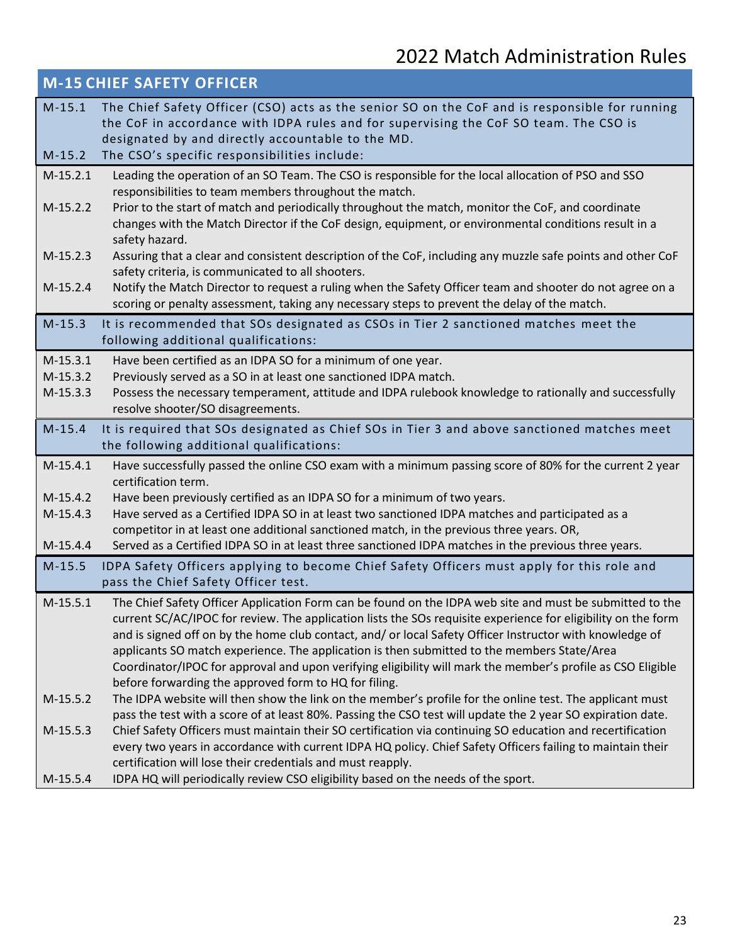|                          | <b>M-15 CHIEF SAFETY OFFICER</b>                                                                                                                                                                                                                                                                                                                                                                                                                                                                                                                                                                             |
|--------------------------|--------------------------------------------------------------------------------------------------------------------------------------------------------------------------------------------------------------------------------------------------------------------------------------------------------------------------------------------------------------------------------------------------------------------------------------------------------------------------------------------------------------------------------------------------------------------------------------------------------------|
| $M-15.1$<br>$M-15.2$     | The Chief Safety Officer (CSO) acts as the senior SO on the CoF and is responsible for running<br>the CoF in accordance with IDPA rules and for supervising the CoF SO team. The CSO is<br>designated by and directly accountable to the MD.<br>The CSO's specific responsibilities include:                                                                                                                                                                                                                                                                                                                 |
| $M-15.2.1$               | Leading the operation of an SO Team. The CSO is responsible for the local allocation of PSO and SSO                                                                                                                                                                                                                                                                                                                                                                                                                                                                                                          |
| $M-15.2.2$               | responsibilities to team members throughout the match.<br>Prior to the start of match and periodically throughout the match, monitor the CoF, and coordinate<br>changes with the Match Director if the CoF design, equipment, or environmental conditions result in a<br>safety hazard.                                                                                                                                                                                                                                                                                                                      |
| $M-15.2.3$               | Assuring that a clear and consistent description of the CoF, including any muzzle safe points and other CoF<br>safety criteria, is communicated to all shooters.                                                                                                                                                                                                                                                                                                                                                                                                                                             |
| $M-15.2.4$               | Notify the Match Director to request a ruling when the Safety Officer team and shooter do not agree on a<br>scoring or penalty assessment, taking any necessary steps to prevent the delay of the match.                                                                                                                                                                                                                                                                                                                                                                                                     |
| $M-15.3$                 | It is recommended that SOs designated as CSOs in Tier 2 sanctioned matches meet the<br>following additional qualifications:                                                                                                                                                                                                                                                                                                                                                                                                                                                                                  |
| $M-15.3.1$               | Have been certified as an IDPA SO for a minimum of one year.                                                                                                                                                                                                                                                                                                                                                                                                                                                                                                                                                 |
| $M-15.3.2$               | Previously served as a SO in at least one sanctioned IDPA match.                                                                                                                                                                                                                                                                                                                                                                                                                                                                                                                                             |
| $M-15.3.3$               | Possess the necessary temperament, attitude and IDPA rulebook knowledge to rationally and successfully<br>resolve shooter/SO disagreements.                                                                                                                                                                                                                                                                                                                                                                                                                                                                  |
| $M-15.4$                 | It is required that SOs designated as Chief SOs in Tier 3 and above sanctioned matches meet<br>the following additional qualifications:                                                                                                                                                                                                                                                                                                                                                                                                                                                                      |
| $M-15.4.1$               | Have successfully passed the online CSO exam with a minimum passing score of 80% for the current 2 year<br>certification term.                                                                                                                                                                                                                                                                                                                                                                                                                                                                               |
| $M-15.4.2$               | Have been previously certified as an IDPA SO for a minimum of two years.                                                                                                                                                                                                                                                                                                                                                                                                                                                                                                                                     |
| $M-15.4.3$               | Have served as a Certified IDPA SO in at least two sanctioned IDPA matches and participated as a                                                                                                                                                                                                                                                                                                                                                                                                                                                                                                             |
| $M-15.4.4$               | competitor in at least one additional sanctioned match, in the previous three years. OR,<br>Served as a Certified IDPA SO in at least three sanctioned IDPA matches in the previous three years.                                                                                                                                                                                                                                                                                                                                                                                                             |
| $M-15.5$                 | IDPA Safety Officers applying to become Chief Safety Officers must apply for this role and<br>pass the Chief Safety Officer test.                                                                                                                                                                                                                                                                                                                                                                                                                                                                            |
| $M-15.5.1$               | The Chief Safety Officer Application Form can be found on the IDPA web site and must be submitted to the<br>current SC/AC/IPOC for review. The application lists the SOs requisite experience for eligibility on the form<br>and is signed off on by the home club contact, and/ or local Safety Officer Instructor with knowledge of<br>applicants SO match experience. The application is then submitted to the members State/Area<br>Coordinator/IPOC for approval and upon verifying eligibility will mark the member's profile as CSO Eligible<br>before forwarding the approved form to HQ for filing. |
| $M-15.5.2$<br>$M-15.5.3$ | The IDPA website will then show the link on the member's profile for the online test. The applicant must<br>pass the test with a score of at least 80%. Passing the CSO test will update the 2 year SO expiration date.<br>Chief Safety Officers must maintain their SO certification via continuing SO education and recertification<br>every two years in accordance with current IDPA HQ policy. Chief Safety Officers failing to maintain their                                                                                                                                                          |
| $M-15.5.4$               | certification will lose their credentials and must reapply.<br>IDPA HQ will periodically review CSO eligibility based on the needs of the sport.                                                                                                                                                                                                                                                                                                                                                                                                                                                             |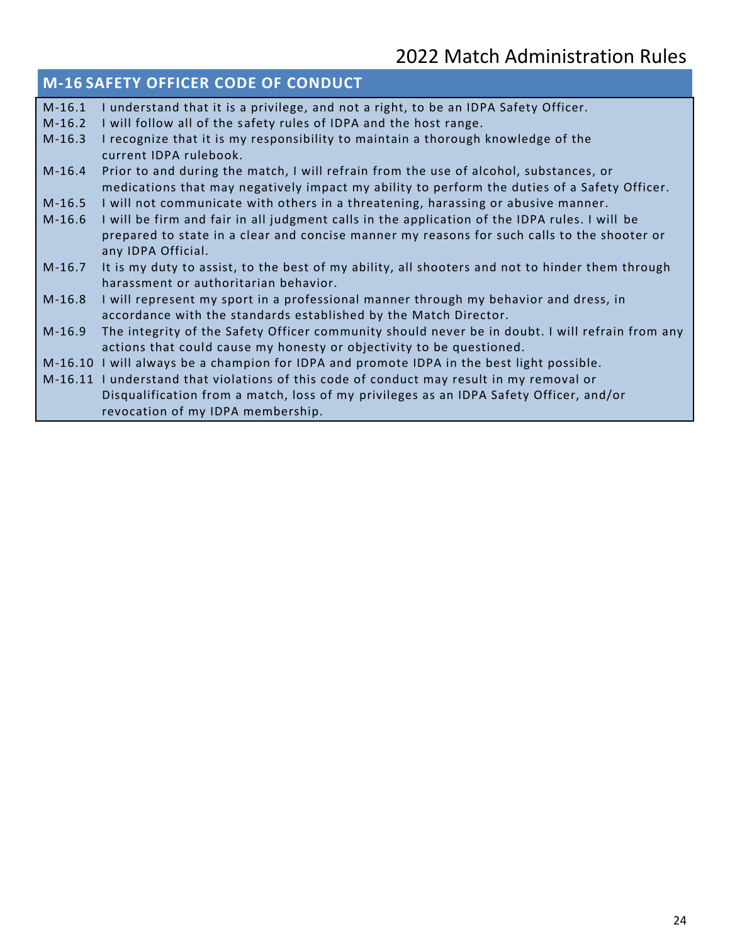### **M-16 SAFETY OFFICER CODE OF CONDUCT**

M-16.1 I understand that it is a privilege, and not a right, to be an IDPA Safety Officer. M-16.2 I will follow all of the safety rules of IDPA and the host range. M-16.3 I recognize that it is my responsibility to maintain a thorough knowledge of the current IDPA rulebook. M-16.4 Prior to and during the match, I will refrain from the use of alcohol, substances, or medications that may negatively impact my ability to perform the duties of a Safety Officer. M-16.5 I will not communicate with others in a threatening, harassing or abusive manner. M-16.6 I will be firm and fair in all judgment calls in the application of the IDPA rules. I will be prepared to state in a clear and concise manner my reasons for such calls to the shooter or any IDPA Official. M-16.7 It is my duty to assist, to the best of my ability, all shooters and not to hinder them through harassment or authoritarian behavior. M-16.8 I will represent my sport in a professional manner through my behavior and dress, in accordance with the standards established by the Match Director. M-16.9 The integrity of the Safety Officer community should never be in doubt. I will refrain from any actions that could cause my honesty or objectivity to be questioned. M-16.10 I will always be a champion for IDPA and promote IDPA in the best light possible. M-16.11 I understand that violations of this code of conduct may result in my removal or Disqualification from a match, loss of my privileges as an IDPA Safety Officer, and/or revocation of my IDPA membership.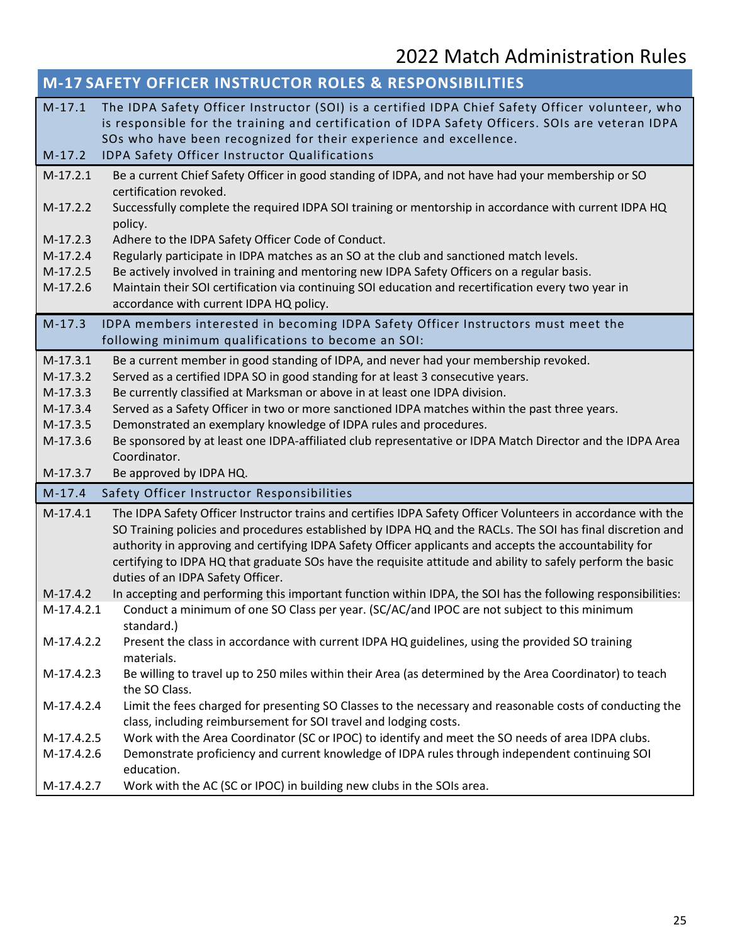|                                                        | M-17 SAFETY OFFICER INSTRUCTOR ROLES & RESPONSIBILITIES                                                                                                                                                                                                                                                                    |  |
|--------------------------------------------------------|----------------------------------------------------------------------------------------------------------------------------------------------------------------------------------------------------------------------------------------------------------------------------------------------------------------------------|--|
| $M-17.1$<br>$M-17.2$                                   | The IDPA Safety Officer Instructor (SOI) is a certified IDPA Chief Safety Officer volunteer, who<br>is responsible for the training and certification of IDPA Safety Officers. SOIs are veteran IDPA<br>SOs who have been recognized for their experience and excellence.<br>IDPA Safety Officer Instructor Qualifications |  |
|                                                        |                                                                                                                                                                                                                                                                                                                            |  |
| $M-17.2.1$                                             | Be a current Chief Safety Officer in good standing of IDPA, and not have had your membership or SO<br>certification revoked.                                                                                                                                                                                               |  |
| $M-17.2.2$                                             | Successfully complete the required IDPA SOI training or mentorship in accordance with current IDPA HQ                                                                                                                                                                                                                      |  |
|                                                        | policy.                                                                                                                                                                                                                                                                                                                    |  |
| $M-17.2.3$                                             | Adhere to the IDPA Safety Officer Code of Conduct.                                                                                                                                                                                                                                                                         |  |
| $M-17.2.4$                                             | Regularly participate in IDPA matches as an SO at the club and sanctioned match levels.                                                                                                                                                                                                                                    |  |
| $M-17.2.5$                                             | Be actively involved in training and mentoring new IDPA Safety Officers on a regular basis.                                                                                                                                                                                                                                |  |
| M-17.2.6                                               | Maintain their SOI certification via continuing SOI education and recertification every two year in                                                                                                                                                                                                                        |  |
|                                                        | accordance with current IDPA HQ policy.                                                                                                                                                                                                                                                                                    |  |
| $M-17.3$                                               | IDPA members interested in becoming IDPA Safety Officer Instructors must meet the                                                                                                                                                                                                                                          |  |
|                                                        | following minimum qualifications to become an SOI:                                                                                                                                                                                                                                                                         |  |
| $M-17.3.1$                                             | Be a current member in good standing of IDPA, and never had your membership revoked.                                                                                                                                                                                                                                       |  |
| $M-17.3.2$                                             | Served as a certified IDPA SO in good standing for at least 3 consecutive years.                                                                                                                                                                                                                                           |  |
| $M-17.3.3$                                             | Be currently classified at Marksman or above in at least one IDPA division.                                                                                                                                                                                                                                                |  |
| $M-17.3.4$                                             | Served as a Safety Officer in two or more sanctioned IDPA matches within the past three years.                                                                                                                                                                                                                             |  |
| M-17.3.5                                               | Demonstrated an exemplary knowledge of IDPA rules and procedures.                                                                                                                                                                                                                                                          |  |
| M-17.3.6                                               | Be sponsored by at least one IDPA-affiliated club representative or IDPA Match Director and the IDPA Area<br>Coordinator.                                                                                                                                                                                                  |  |
| M-17.3.7                                               | Be approved by IDPA HQ.                                                                                                                                                                                                                                                                                                    |  |
| $M-17.4$<br>Safety Officer Instructor Responsibilities |                                                                                                                                                                                                                                                                                                                            |  |
| $M-17.4.1$                                             | The IDPA Safety Officer Instructor trains and certifies IDPA Safety Officer Volunteers in accordance with the                                                                                                                                                                                                              |  |
|                                                        | SO Training policies and procedures established by IDPA HQ and the RACLs. The SOI has final discretion and                                                                                                                                                                                                                 |  |
|                                                        | authority in approving and certifying IDPA Safety Officer applicants and accepts the accountability for                                                                                                                                                                                                                    |  |
|                                                        | certifying to IDPA HQ that graduate SOs have the requisite attitude and ability to safely perform the basic                                                                                                                                                                                                                |  |
|                                                        | duties of an IDPA Safety Officer.                                                                                                                                                                                                                                                                                          |  |
| $M-17.4.2$                                             | In accepting and performing this important function within IDPA, the SOI has the following responsibilities:                                                                                                                                                                                                               |  |
| M-17.4.2.1                                             | Conduct a minimum of one SO Class per year. (SC/AC/and IPOC are not subject to this minimum                                                                                                                                                                                                                                |  |
|                                                        | standard.)                                                                                                                                                                                                                                                                                                                 |  |
| M-17.4.2.2                                             | Present the class in accordance with current IDPA HQ guidelines, using the provided SO training                                                                                                                                                                                                                            |  |
|                                                        | materials.                                                                                                                                                                                                                                                                                                                 |  |
| M-17.4.2.3                                             | Be willing to travel up to 250 miles within their Area (as determined by the Area Coordinator) to teach<br>the SO Class.                                                                                                                                                                                                   |  |
| M-17.4.2.4                                             | Limit the fees charged for presenting SO Classes to the necessary and reasonable costs of conducting the                                                                                                                                                                                                                   |  |
|                                                        | class, including reimbursement for SOI travel and lodging costs.                                                                                                                                                                                                                                                           |  |
| M-17.4.2.5                                             | Work with the Area Coordinator (SC or IPOC) to identify and meet the SO needs of area IDPA clubs.                                                                                                                                                                                                                          |  |
| M-17.4.2.6                                             | Demonstrate proficiency and current knowledge of IDPA rules through independent continuing SOI                                                                                                                                                                                                                             |  |
|                                                        | education.                                                                                                                                                                                                                                                                                                                 |  |
| M-17.4.2.7                                             | Work with the AC (SC or IPOC) in building new clubs in the SOIs area.                                                                                                                                                                                                                                                      |  |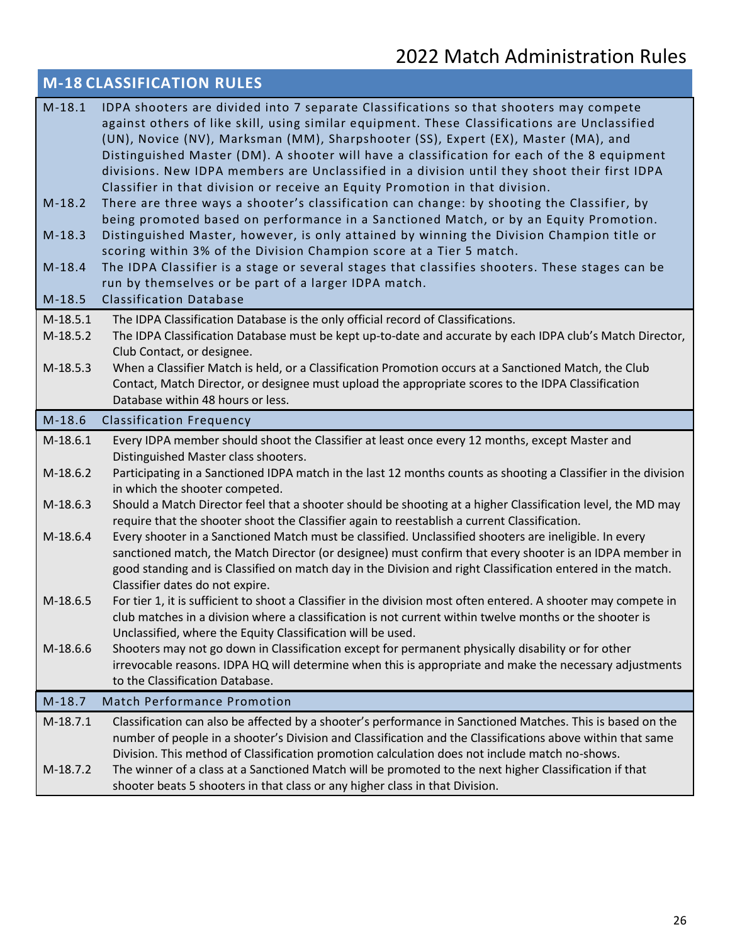| <b>M-18 CLASSIFICATION RULES</b> |                                                                                                                                                                                                                                                                                                                                                                                                                                                                                                                                                              |
|----------------------------------|--------------------------------------------------------------------------------------------------------------------------------------------------------------------------------------------------------------------------------------------------------------------------------------------------------------------------------------------------------------------------------------------------------------------------------------------------------------------------------------------------------------------------------------------------------------|
| $M-18.1$                         | IDPA shooters are divided into 7 separate Classifications so that shooters may compete<br>against others of like skill, using similar equipment. These Classifications are Unclassified<br>(UN), Novice (NV), Marksman (MM), Sharpshooter (SS), Expert (EX), Master (MA), and<br>Distinguished Master (DM). A shooter will have a classification for each of the 8 equipment<br>divisions. New IDPA members are Unclassified in a division until they shoot their first IDPA<br>Classifier in that division or receive an Equity Promotion in that division. |
| $M-18.2$                         | There are three ways a shooter's classification can change: by shooting the Classifier, by<br>being promoted based on performance in a Sanctioned Match, or by an Equity Promotion.                                                                                                                                                                                                                                                                                                                                                                          |
| $M-18.3$                         | Distinguished Master, however, is only attained by winning the Division Champion title or<br>scoring within 3% of the Division Champion score at a Tier 5 match.                                                                                                                                                                                                                                                                                                                                                                                             |
| $M-18.4$<br>$M-18.5$             | The IDPA Classifier is a stage or several stages that classifies shooters. These stages can be<br>run by themselves or be part of a larger IDPA match.<br><b>Classification Database</b>                                                                                                                                                                                                                                                                                                                                                                     |
|                                  |                                                                                                                                                                                                                                                                                                                                                                                                                                                                                                                                                              |
| $M-18.5.1$<br>M-18.5.2           | The IDPA Classification Database is the only official record of Classifications.<br>The IDPA Classification Database must be kept up-to-date and accurate by each IDPA club's Match Director,<br>Club Contact, or designee.                                                                                                                                                                                                                                                                                                                                  |
| M-18.5.3                         | When a Classifier Match is held, or a Classification Promotion occurs at a Sanctioned Match, the Club<br>Contact, Match Director, or designee must upload the appropriate scores to the IDPA Classification<br>Database within 48 hours or less.                                                                                                                                                                                                                                                                                                             |
| $M-18.6$                         | <b>Classification Frequency</b>                                                                                                                                                                                                                                                                                                                                                                                                                                                                                                                              |
|                                  |                                                                                                                                                                                                                                                                                                                                                                                                                                                                                                                                                              |
| $M-18.6.1$                       | Every IDPA member should shoot the Classifier at least once every 12 months, except Master and<br>Distinguished Master class shooters.                                                                                                                                                                                                                                                                                                                                                                                                                       |
| M-18.6.2                         | Participating in a Sanctioned IDPA match in the last 12 months counts as shooting a Classifier in the division<br>in which the shooter competed.                                                                                                                                                                                                                                                                                                                                                                                                             |
| M-18.6.3                         | Should a Match Director feel that a shooter should be shooting at a higher Classification level, the MD may<br>require that the shooter shoot the Classifier again to reestablish a current Classification.                                                                                                                                                                                                                                                                                                                                                  |
| M-18.6.4                         | Every shooter in a Sanctioned Match must be classified. Unclassified shooters are ineligible. In every<br>sanctioned match, the Match Director (or designee) must confirm that every shooter is an IDPA member in<br>good standing and is Classified on match day in the Division and right Classification entered in the match.<br>Classifier dates do not expire.                                                                                                                                                                                          |
| M-18.6.5                         | For tier 1, it is sufficient to shoot a Classifier in the division most often entered. A shooter may compete in<br>club matches in a division where a classification is not current within twelve months or the shooter is<br>Unclassified, where the Equity Classification will be used.                                                                                                                                                                                                                                                                    |
| M-18.6.6                         | Shooters may not go down in Classification except for permanent physically disability or for other<br>irrevocable reasons. IDPA HQ will determine when this is appropriate and make the necessary adjustments<br>to the Classification Database.                                                                                                                                                                                                                                                                                                             |
| $M-18.7$                         | Match Performance Promotion                                                                                                                                                                                                                                                                                                                                                                                                                                                                                                                                  |
| $M-18.7.1$                       | Classification can also be affected by a shooter's performance in Sanctioned Matches. This is based on the<br>number of people in a shooter's Division and Classification and the Classifications above within that same<br>Division. This method of Classification promotion calculation does not include match no-shows.                                                                                                                                                                                                                                   |